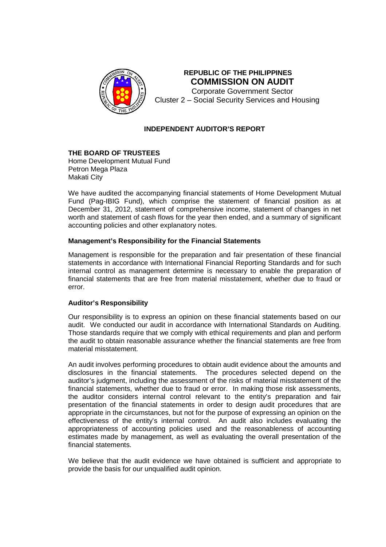

# **REPUBLIC OF THE PHILIPPINES COMMISSION ON AUDIT**

Corporate Government Sector Cluster 2 – Social Security Services and Housing

# **INDEPENDENT AUDITOR'S REPORT**

# **THE BOARD OF TRUSTEES**

Home Development Mutual Fund Petron Mega Plaza Makati City

We have audited the accompanying financial statements of Home Development Mutual Fund (Pag-IBIG Fund), which comprise the statement of financial position as at December 31, 2012, statement of comprehensive income, statement of changes in net worth and statement of cash flows for the year then ended, and a summary of significant accounting policies and other explanatory notes.

#### **Management's Responsibility for the Financial Statements**

Management is responsible for the preparation and fair presentation of these financial statements in accordance with International Financial Reporting Standards and for such internal control as management determine is necessary to enable the preparation of financial statements that are free from material misstatement, whether due to fraud or error.

#### **Auditor's Responsibility**

Our responsibility is to express an opinion on these financial statements based on our audit. We conducted our audit in accordance with International Standards on Auditing. Those standards require that we comply with ethical requirements and plan and perform the audit to obtain reasonable assurance whether the financial statements are free from material misstatement.

An audit involves performing procedures to obtain audit evidence about the amounts and disclosures in the financial statements. The procedures selected depend on the auditor's judgment, including the assessment of the risks of material misstatement of the financial statements, whether due to fraud or error. In making those risk assessments, the auditor considers internal control relevant to the entity's preparation and fair presentation of the financial statements in order to design audit procedures that are appropriate in the circumstances, but not for the purpose of expressing an opinion on the effectiveness of the entity's internal control. An audit also includes evaluating the appropriateness of accounting policies used and the reasonableness of accounting estimates made by management, as well as evaluating the overall presentation of the financial statements.

We believe that the audit evidence we have obtained is sufficient and appropriate to provide the basis for our unqualified audit opinion.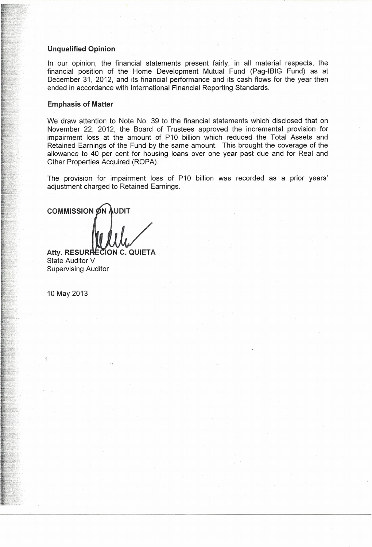#### **Unqualified Opinion**

In our opinion, the financial statements present fairly, in all material respects, the financial position of the Home Development Mutual Fund (Pag-IBIG Fund) as at December 31, 2012, and its financial performance and its cash flows for the year then ended in accordance with International Financial Reporting Standards.

#### **Emphasis of Matter**

We draw attention to Note No. 39 to the financial statements which disclosed that on November 22, 2012, the Board of Trustees approved the incremental provision for impairment loss at the amount of P10 billion which reduced the Total Assets and Retained Earnings of the Fund by the same amount. This brought the coverage of the allowance to 40 per cent for housing loans over one year past due and for Real and Other Properties Acquired (ROPA).

The provision for impairment loss of P10 billion was recorded as a prior years' adjustment charged to Retained Earnings.

**COMMISSION ON UDIT** 

**Atty. RESUR** State Auditor V Supervising Auditor

10 May 2013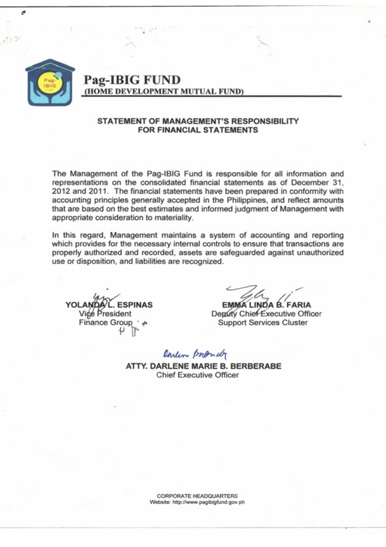

# **Pag-IBIG FUND** (HOME DEVELOPMENT MUTUAL FUND)

# STATEMENT OF MANAGEMENT'S RESPONSIBILITY **FOR FINANCIAL STATEMENTS**

The Management of the Pag-IBIG Fund is responsible for all information and representations on the consolidated financial statements as of December 31, 2012 and 2011. The financial statements have been prepared in conformity with accounting principles generally accepted in the Philippines, and reflect amounts that are based on the best estimates and informed judgment of Management with appropriate consideration to materiality.

In this regard, Management maintains a system of accounting and reporting which provides for the necessary internal controls to ensure that transactions are properly authorized and recorded, assets are safeguarded against unauthorized use or disposition, and liabilities are recognized.

.. ESPINAS Vice President Finance Group '

EMMA LINDA B. FARIA

Deputy Chief Executive Officer **Support Services Cluster** 

Online promaly

ATTY. DARLENE MARIE B. BERBERABE **Chief Executive Officer** 

> **CORPORATE HEADQUARTERS** Website: http://www.pagibigfund.gov.ph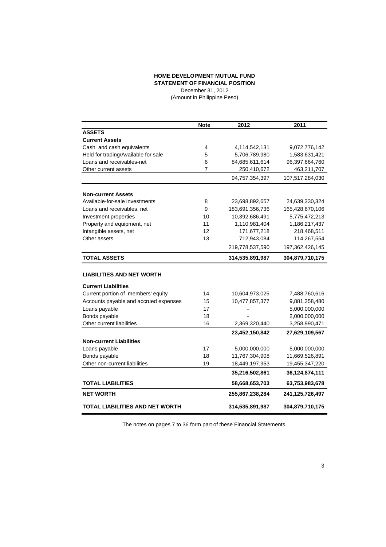#### **HOME DEVELOPMENT MUTUAL FUND STATEMENT OF FINANCIAL POSITION** December 31, 2012

(Amount in Philippine Peso)

|                                       | <b>Note</b> | 2012            | 2011               |
|---------------------------------------|-------------|-----------------|--------------------|
| <b>ASSETS</b>                         |             |                 |                    |
| <b>Current Assets</b>                 |             |                 |                    |
| Cash and cash equivalents             | 4           | 4,114,542,131   | 9,072,776,142      |
| Held for trading/Available for sale   | 5           | 5,706,789,980   | 1,583,631,421      |
| Loans and receivables-net             | 6           | 84,685,611,614  | 96,397,664,760     |
| Other current assets                  | 7           | 250,410,672     | 463,211,707        |
|                                       |             | 94,757,354,397  | 107,517,284,030    |
| <b>Non-current Assets</b>             |             |                 |                    |
| Available-for-sale investments        | 8           | 23,698,892,657  | 24,639,330,324     |
| Loans and receivables, net            | 9           | 183,691,356,736 | 165,428,670,106    |
| Investment properties                 | 10          | 10,392,686,491  | 5,775,472,213      |
| Property and equipment, net           | 11          | 1,110,981,404   | 1,186,217,437      |
| Intangible assets, net                | 12          | 171,677,218     | 218,468,511        |
| Other assets                          | 13          | 712,943,084     | 114,267,554        |
|                                       |             | 219,778,537,590 | 197,362,426,145    |
| TOTAL ASSETS                          |             | 314,535,891,987 | 304,879,710,175    |
| <b>LIABILITIES AND NET WORTH</b>      |             |                 |                    |
| <b>Current Liabilities</b>            |             |                 |                    |
| Current portion of members' equity    | 14          | 10,604,973,025  | 7,488,760,616      |
| Accounts payable and accrued expenses | 15          | 10,477,857,377  | 9,881,358,480      |
| Loans payable                         | 17          |                 | 5,000,000,000      |
| Bonds payable                         | 18          |                 | 2,000,000,000      |
| Other current liabilities             | 16          | 2,369,320,440   | 3,258,990,471      |
|                                       |             | 23,452,150,842  | 27,629,109,567     |
| <b>Non-current Liabilities</b>        |             |                 |                    |
| Loans payable                         | 17          | 5,000,000,000   | 5,000,000,000      |
| Bonds payable                         | 18          | 11,767,304,908  | 11,669,526,891     |
| Other non-current liabilities         | 19          | 18,449,197,953  | 19,455,347,220     |
|                                       |             | 35,216,502,861  | 36,124,874,111     |
| <b>TOTAL LIABILITIES</b>              |             | 58,668,653,703  | 63,753,983,678     |
| <b>NET WORTH</b>                      |             | 255,867,238,284 | 241, 125, 726, 497 |
| TOTAL LIABILITIES AND NET WORTH       |             | 314,535,891,987 | 304,879,710,175    |

The notes on pages 7 to 36 form part of these Financial Statements.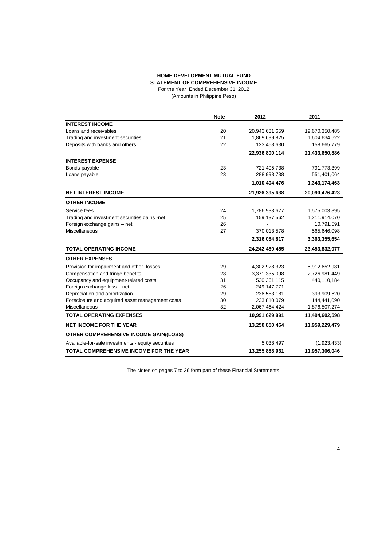#### **HOME DEVELOPMENT MUTUAL FUND STATEMENT OF COMPREHENSIVE INCOME** For the Year Ended December 31, 2012

(Amounts in Philippine Peso)

|                                                    | <b>Note</b> | 2012           | 2011           |
|----------------------------------------------------|-------------|----------------|----------------|
| <b>INTEREST INCOME</b>                             |             |                |                |
| Loans and receivables                              | 20          | 20,943,631,659 | 19,670,350,485 |
| Trading and investment securities                  | 21          | 1,869,699,825  | 1,604,634,622  |
| Deposits with banks and others                     | 22          | 123,468,630    | 158,665,779    |
|                                                    |             | 22,936,800,114 | 21,433,650,886 |
| <b>INTEREST EXPENSE</b>                            |             |                |                |
| Bonds payable                                      | 23          | 721,405,738    | 791,773,399    |
| Loans payable                                      | 23          | 288,998,738    | 551,401,064    |
|                                                    |             | 1,010,404,476  | 1,343,174,463  |
| <b>NET INTEREST INCOME</b>                         |             | 21,926,395,638 | 20,090,476,423 |
| <b>OTHER INCOME</b>                                |             |                |                |
| Service fees                                       | 24          | 1,786,933,677  | 1,575,003,895  |
| Trading and investment securities gains -net       | 25          | 159, 137, 562  | 1,211,914,070  |
| Foreign exchange gains - net                       | 26          |                | 10,791,591     |
| Miscellaneous                                      | 27          | 370,013,578    | 565,646,098    |
|                                                    |             | 2,316,084,817  | 3,363,355,654  |
| <b>TOTAL OPERATING INCOME</b>                      |             | 24,242,480,455 | 23,453,832,077 |
| <b>OTHER EXPENSES</b>                              |             |                |                |
| Provision for impairment and other losses          | 29          | 4,302,928,323  | 5,912,652,981  |
| Compensation and fringe benefits                   | 28          | 3,371,335,098  | 2,726,981,449  |
| Occupancy and equipment-related costs              | 31          | 530,361,115    | 440,110,184    |
| Foreign exchange loss - net                        | 26          | 249,147,771    |                |
| Depreciation and amortization                      | 29          | 236,583,181    | 393,909,620    |
| Foreclosure and acquired asset management costs    | 30          | 233,810,079    | 144,441,090    |
| Miscellaneous                                      | 32          | 2,067,464,424  | 1,876,507,274  |
| <b>TOTAL OPERATING EXPENSES</b>                    |             | 10,991,629,991 | 11,494,602,598 |
| <b>NET INCOME FOR THE YEAR</b>                     |             | 13,250,850,464 | 11,959,229,479 |
| <b>OTHER COMPREHENSIVE INCOME GAIN/(LOSS)</b>      |             |                |                |
| Available-for-sale investments - equity securities |             | 5,038,497      | (1,923,433)    |
| TOTAL COMPREHENSIVE INCOME FOR THE YEAR            |             | 13,255,888,961 | 11,957,306,046 |

The Notes on pages 7 to 36 form part of these Financial Statements.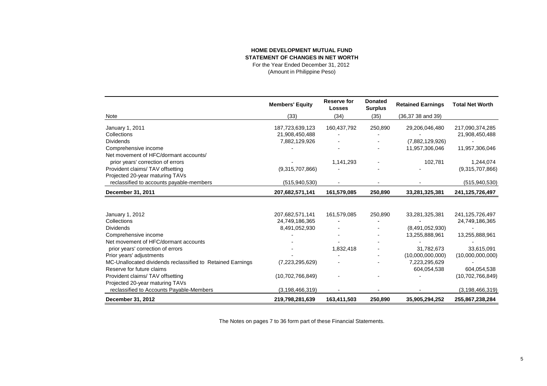#### **HOME DEVELOPMENT MUTUAL FUND STATEMENT OF CHANGES IN NET WORTH**For the Year Ended December 31, 2012 (Amount in Philippine Peso)

|                                                            | <b>Members' Equity</b> | Reserve for<br><b>Losses</b> | <b>Donated</b><br><b>Surplus</b> | <b>Retained Earnings</b> | <b>Total Net Worth</b> |
|------------------------------------------------------------|------------------------|------------------------------|----------------------------------|--------------------------|------------------------|
| Note                                                       | (33)                   | (34)                         | (35)                             | (36,37,38,30)            |                        |
| January 1, 2011                                            | 187,723,639,123        | 160,437,792                  | 250,890                          | 29,206,046,480           | 217,090,374,285        |
| Collections                                                | 21,908,450,488         |                              |                                  |                          | 21,908,450,488         |
| <b>Dividends</b>                                           | 7,882,129,926          |                              |                                  | (7,882,129,926)          |                        |
| Comprehensive income                                       |                        |                              |                                  | 11,957,306,046           | 11,957,306,046         |
| Net movement of HFC/dormant accounts/                      |                        |                              |                                  |                          |                        |
| prior years' correction of errors                          |                        | 1,141,293                    |                                  | 102,781                  | 1,244,074              |
| Provident claims/ TAV offsetting                           | (9,315,707,866)        |                              |                                  |                          | (9,315,707,866)        |
| Projected 20-year maturing TAVs                            |                        |                              |                                  |                          |                        |
| reclassified to accounts payable-members                   | (515, 940, 530)        |                              |                                  |                          | (515, 940, 530)        |
| December 31, 2011                                          | 207,682,571,141        | 161,579,085                  | 250,890                          | 33,281,325,381           | 241,125,726,497        |
|                                                            |                        |                              |                                  |                          |                        |
| January 1, 2012                                            | 207,682,571,141        | 161,579,085                  | 250,890                          | 33,281,325,381           | 241,125,726,497        |
| Collections                                                | 24,749,186,365         |                              |                                  |                          | 24,749,186,365         |
| <b>Dividends</b>                                           | 8,491,052,930          |                              |                                  | (8,491,052,930)          |                        |
| Comprehensive income                                       |                        |                              |                                  | 13,255,888,961           | 13,255,888,961         |
| Net movement of HFC/dormant accounts                       |                        |                              |                                  |                          |                        |
| prior years' correction of errors                          |                        | 1,832,418                    |                                  | 31,782,673               | 33,615,091             |
| Prior years' adjustments                                   |                        |                              |                                  | (10,000,000,000)         | (10,000,000,000)       |
| MC-Unallocated dividends reclassified to Retained Earnings | (7,223,295,629)        |                              |                                  | 7,223,295,629            |                        |
| Reserve for future claims                                  |                        |                              |                                  | 604,054,538              | 604,054,538            |
| Provident claims/ TAV offsetting                           | (10, 702, 766, 849)    |                              |                                  |                          | (10, 702, 766, 849)    |
| Projected 20-year maturing TAVs                            |                        |                              |                                  |                          |                        |
| reclassified to Accounts Payable-Members                   | (3, 198, 466, 319)     |                              |                                  |                          | (3, 198, 466, 319)     |
| December 31, 2012                                          | 219,798,281,639        | 163,411,503                  | 250,890                          | 35,905,294,252           | 255,867,238,284        |

The Notes on pages 7 to 36 form part of these Financial Statements.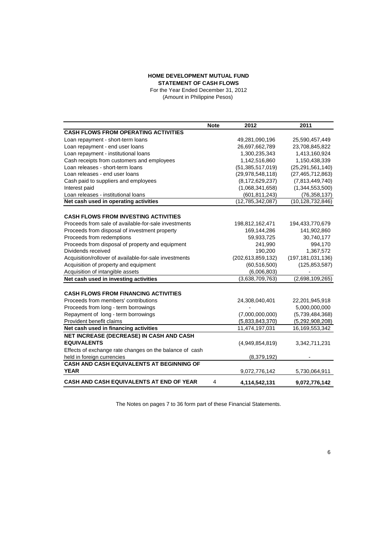#### **HOME DEVELOPMENT MUTUAL FUND STATEMENT OF CASH FLOWS**

 For the Year Ended December 31, 2012 (Amount in Philippine Pesos)

|                                                                | <b>Note</b> | 2012                 | 2011                 |
|----------------------------------------------------------------|-------------|----------------------|----------------------|
| <b>CASH FLOWS FROM OPERATING ACTIVITIES</b>                    |             |                      |                      |
| Loan repayment - short-term loans                              |             | 49,281,090,196       | 25,590,457,449       |
| Loan repayment - end user loans                                |             | 26,697,662,789       | 23,708,845,822       |
| Loan repayment - institutional loans                           |             | 1,300,235,343        | 1,413,160,924        |
| Cash receipts from customers and employees                     |             | 1,142,516,860        | 1,150,438,339        |
| Loan releases - short-term loans                               |             | (51, 385, 517, 019)  | (25, 291, 561, 140)  |
| Loan releases - end user loans                                 |             | (29, 978, 548, 118)  | (27, 465, 712, 863)  |
| Cash paid to suppliers and employees                           |             | (8, 172, 629, 237)   | (7,813,449,740)      |
| Interest paid                                                  |             | (1,068,341,658)      | (1,344,553,500)      |
| Loan releases - institutional loans                            |             | (601, 811, 243)      | (76, 358, 137)       |
| Net cash used in operating activities                          |             | (12,785,342,087)     | (10, 128, 732, 846)  |
|                                                                |             |                      |                      |
| <b>CASH FLOWS FROM INVESTING ACTIVITIES</b>                    |             |                      |                      |
| Proceeds from sale of available-for-sale investments           |             | 198,812,162,471      | 194,433,770,679      |
| Proceeds from disposal of investment property                  |             | 169,144,286          | 141,902,860          |
| Proceeds from redemptions                                      |             | 59,933,725           | 30,740,177           |
| Proceeds from disposal of property and equipment               |             | 241,990              | 994,170              |
| Dividends received                                             |             | 190,200              | 1,367,572            |
| Acquisition/rollover of available-for-sale investments         |             | (202, 613, 859, 132) | (197, 181, 031, 136) |
| Acquisition of property and equipment                          |             | (60, 516, 500)       | (125, 853, 587)      |
| Acquisition of intangible assets                               |             | (6,006,803)          | $\overline{a}$       |
| Net cash used in investing activities                          |             | (3,638,709,763)      | (2,698,109,265)      |
| <b>CASH FLOWS FROM FINANCING ACTIVITIES</b>                    |             |                      |                      |
| Proceeds from members' contributions                           |             |                      | 22,201,945,918       |
| Proceeds from long - term borrowings                           |             | 24,308,040,401       | 5,000,000,000        |
| Repayment of long - term borrowings                            |             | (7,000,000,000)      | (5,739,484,368)      |
| Provident benefit claims                                       |             | (5,833,843,370)      | (5,292,908,208)      |
| Net cash used in financing activities                          |             | 11,474,197,031       | 16,169,553,342       |
|                                                                |             |                      |                      |
| NET INCREASE (DECREASE) IN CASH AND CASH<br><b>EQUIVALENTS</b> |             |                      |                      |
|                                                                |             | (4,949,854,819)      | 3,342,711,231        |
| Effects of exchange rate changes on the balance of cash        |             |                      |                      |
| held in foreign currencies                                     |             | (8,379,192)          |                      |
| CASH AND CASH EQUIVALENTS AT BEGINNING OF                      |             |                      |                      |
| <b>YEAR</b>                                                    |             | 9,072,776,142        | 5,730,064,911        |
| <b>CASH AND CASH EQUIVALENTS AT END OF YEAR</b>                | 4           | 4,114,542,131        | 9,072,776,142        |

The Notes on pages 7 to 36 form part of these Financial Statements.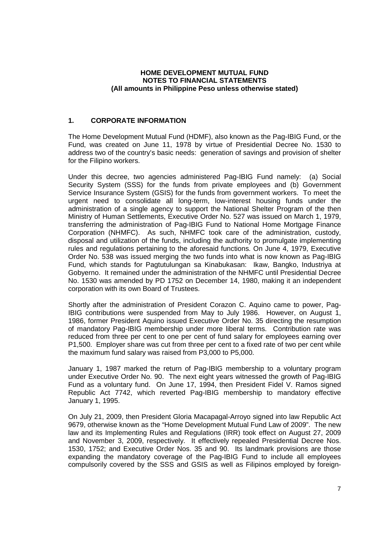#### **HOME DEVELOPMENT MUTUAL FUND NOTES TO FINANCIAL STATEMENTS (All amounts in Philippine Peso unless otherwise stated)**

### **1. CORPORATE INFORMATION**

The Home Development Mutual Fund (HDMF), also known as the Pag-IBIG Fund, or the Fund, was created on June 11, 1978 by virtue of Presidential Decree No. 1530 to address two of the country's basic needs: generation of savings and provision of shelter for the Filipino workers.

Under this decree, two agencies administered Pag-IBIG Fund namely: (a) Social Security System (SSS) for the funds from private employees and (b) Government Service Insurance System (GSIS) for the funds from government workers. To meet the urgent need to consolidate all long-term, low-interest housing funds under the administration of a single agency to support the National Shelter Program of the then Ministry of Human Settlements, Executive Order No. 527 was issued on March 1, 1979, transferring the administration of Pag-IBIG Fund to National Home Mortgage Finance Corporation (NHMFC). As such, NHMFC took care of the administration, custody, disposal and utilization of the funds, including the authority to promulgate implementing rules and regulations pertaining to the aforesaid functions. On June 4, 1979, Executive Order No. 538 was issued merging the two funds into what is now known as Pag-IBIG Fund, which stands for Pagtutulungan sa Kinabukasan: Ikaw, Bangko, Industriya at Gobyerno. It remained under the administration of the NHMFC until Presidential Decree No. 1530 was amended by PD 1752 on December 14, 1980, making it an independent corporation with its own Board of Trustees.

Shortly after the administration of President Corazon C. Aquino came to power, Pag-IBIG contributions were suspended from May to July 1986. However, on August 1, 1986, former President Aquino issued Executive Order No. 35 directing the resumption of mandatory Pag-IBIG membership under more liberal terms. Contribution rate was reduced from three per cent to one per cent of fund salary for employees earning over P1,500. Employer share was cut from three per cent to a fixed rate of two per cent while the maximum fund salary was raised from P3,000 to P5,000.

January 1, 1987 marked the return of Pag-IBIG membership to a voluntary program under Executive Order No. 90. The next eight years witnessed the growth of Pag-IBIG Fund as a voluntary fund. On June 17, 1994, then President Fidel V. Ramos signed Republic Act 7742, which reverted Pag-IBIG membership to mandatory effective January 1, 1995.

On July 21, 2009, then President Gloria Macapagal-Arroyo signed into law Republic Act 9679, otherwise known as the "Home Development Mutual Fund Law of 2009". The new law and its Implementing Rules and Regulations (IRR) took effect on August 27, 2009 and November 3, 2009, respectively. It effectively repealed Presidential Decree Nos. 1530, 1752; and Executive Order Nos. 35 and 90. Its landmark provisions are those expanding the mandatory coverage of the Pag-IBIG Fund to include all employees compulsorily covered by the SSS and GSIS as well as Filipinos employed by foreign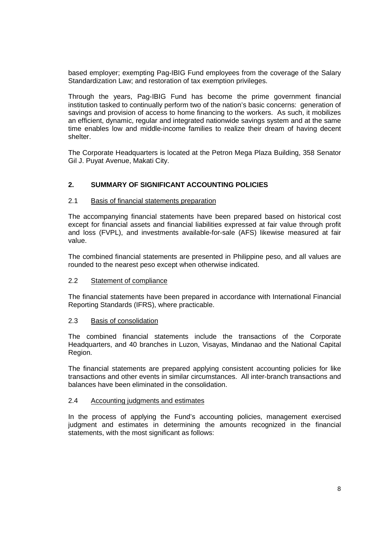based employer; exempting Pag-IBIG Fund employees from the coverage of the Salary Standardization Law; and restoration of tax exemption privileges.

Through the years, Pag-IBIG Fund has become the prime government financial institution tasked to continually perform two of the nation's basic concerns: generation of savings and provision of access to home financing to the workers. As such, it mobilizes an efficient, dynamic, regular and integrated nationwide savings system and at the same time enables low and middle-income families to realize their dream of having decent shelter.

The Corporate Headquarters is located at the Petron Mega Plaza Building, 358 Senator Gil J. Puyat Avenue, Makati City.

# **2. SUMMARY OF SIGNIFICANT ACCOUNTING POLICIES**

#### 2.1 Basis of financial statements preparation

The accompanying financial statements have been prepared based on historical cost except for financial assets and financial liabilities expressed at fair value through profit and loss (FVPL), and investments available-for-sale (AFS) likewise measured at fair value.

The combined financial statements are presented in Philippine peso, and all values are rounded to the nearest peso except when otherwise indicated.

#### 2.2 Statement of compliance

The financial statements have been prepared in accordance with International Financial Reporting Standards (IFRS), where practicable.

#### 2.3 Basis of consolidation

The combined financial statements include the transactions of the Corporate Headquarters, and 40 branches in Luzon, Visayas, Mindanao and the National Capital Region.

The financial statements are prepared applying consistent accounting policies for like transactions and other events in similar circumstances. All inter-branch transactions and balances have been eliminated in the consolidation.

#### 2.4 Accounting judgments and estimates

In the process of applying the Fund's accounting policies, management exercised judgment and estimates in determining the amounts recognized in the financial statements, with the most significant as follows: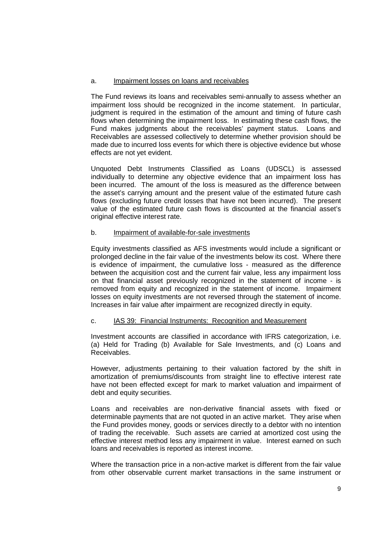#### a. Impairment losses on loans and receivables

The Fund reviews its loans and receivables semi-annually to assess whether an impairment loss should be recognized in the income statement. In particular, judgment is required in the estimation of the amount and timing of future cash flows when determining the impairment loss. In estimating these cash flows, the Fund makes judgments about the receivables' payment status. Loans and Receivables are assessed collectively to determine whether provision should be made due to incurred loss events for which there is objective evidence but whose effects are not yet evident.

Unquoted Debt Instruments Classified as Loans (UDSCL) is assessed individually to determine any objective evidence that an impairment loss has been incurred. The amount of the loss is measured as the difference between the asset's carrying amount and the present value of the estimated future cash flows (excluding future credit losses that have not been incurred). The present value of the estimated future cash flows is discounted at the financial asset's original effective interest rate.

### b. Impairment of available-for-sale investments

Equity investments classified as AFS investments would include a significant or prolonged decline in the fair value of the investments below its cost. Where there is evidence of impairment, the cumulative loss - measured as the difference between the acquisition cost and the current fair value, less any impairment loss on that financial asset previously recognized in the statement of income - is removed from equity and recognized in the statement of income. Impairment losses on equity investments are not reversed through the statement of income. Increases in fair value after impairment are recognized directly in equity.

#### c. IAS 39: Financial Instruments: Recognition and Measurement

Investment accounts are classified in accordance with IFRS categorization, i.e. (a) Held for Trading (b) Available for Sale Investments, and (c) Loans and Receivables.

However, adjustments pertaining to their valuation factored by the shift in amortization of premiums/discounts from straight line to effective interest rate have not been effected except for mark to market valuation and impairment of debt and equity securities.

Loans and receivables are non-derivative financial assets with fixed or determinable payments that are not quoted in an active market. They arise when the Fund provides money, goods or services directly to a debtor with no intention of trading the receivable. Such assets are carried at amortized cost using the effective interest method less any impairment in value. Interest earned on such loans and receivables is reported as interest income.

Where the transaction price in a non-active market is different from the fair value from other observable current market transactions in the same instrument or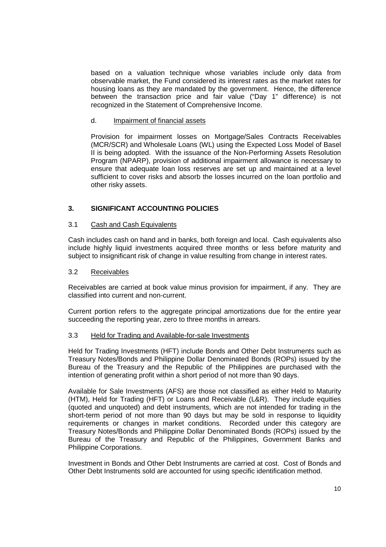based on a valuation technique whose variables include only data from observable market, the Fund considered its interest rates as the market rates for housing loans as they are mandated by the government. Hence, the difference between the transaction price and fair value ("Day 1" difference) is not recognized in the Statement of Comprehensive Income.

#### d. Impairment of financial assets

Provision for impairment losses on Mortgage/Sales Contracts Receivables (MCR/SCR) and Wholesale Loans (WL) using the Expected Loss Model of Basel II is being adopted. With the issuance of the Non-Performing Assets Resolution Program (NPARP), provision of additional impairment allowance is necessary to ensure that adequate loan loss reserves are set up and maintained at a level sufficient to cover risks and absorb the losses incurred on the loan portfolio and other risky assets.

# **3. SIGNIFICANT ACCOUNTING POLICIES**

# 3.1 Cash and Cash Equivalents

Cash includes cash on hand and in banks, both foreign and local. Cash equivalents also include highly liquid investments acquired three months or less before maturity and subject to insignificant risk of change in value resulting from change in interest rates.

#### 3.2 Receivables

Receivables are carried at book value minus provision for impairment, if any. They are classified into current and non-current.

Current portion refers to the aggregate principal amortizations due for the entire year succeeding the reporting year, zero to three months in arrears.

#### 3.3 Held for Trading and Available-for-sale Investments

Held for Trading Investments (HFT) include Bonds and Other Debt Instruments such as Treasury Notes/Bonds and Philippine Dollar Denominated Bonds (ROPs) issued by the Bureau of the Treasury and the Republic of the Philippines are purchased with the intention of generating profit within a short period of not more than 90 days.

Available for Sale Investments (AFS) are those not classified as either Held to Maturity (HTM), Held for Trading (HFT) or Loans and Receivable (L&R). They include equities (quoted and unquoted) and debt instruments, which are not intended for trading in the short-term period of not more than 90 days but may be sold in response to liquidity requirements or changes in market conditions. Recorded under this category are Treasury Notes/Bonds and Philippine Dollar Denominated Bonds (ROPs) issued by the Bureau of the Treasury and Republic of the Philippines, Government Banks and Philippine Corporations.

Investment in Bonds and Other Debt Instruments are carried at cost. Cost of Bonds and Other Debt Instruments sold are accounted for using specific identification method.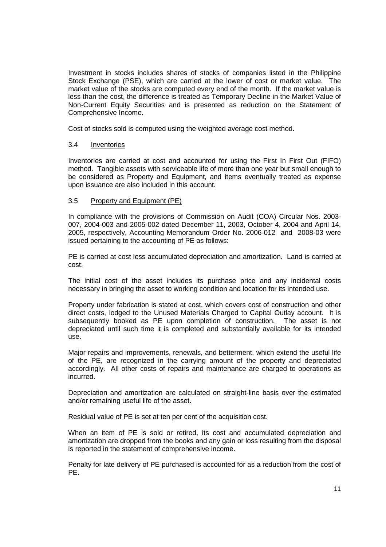Investment in stocks includes shares of stocks of companies listed in the Philippine Stock Exchange (PSE), which are carried at the lower of cost or market value. The market value of the stocks are computed every end of the month. If the market value is less than the cost, the difference is treated as Temporary Decline in the Market Value of Non-Current Equity Securities and is presented as reduction on the Statement of Comprehensive Income.

Cost of stocks sold is computed using the weighted average cost method.

#### 3.4 Inventories

Inventories are carried at cost and accounted for using the First In First Out (FIFO) method. Tangible assets with serviceable life of more than one year but small enough to be considered as Property and Equipment, and items eventually treated as expense upon issuance are also included in this account.

#### 3.5 Property and Equipment (PE)

In compliance with the provisions of Commission on Audit (COA) Circular Nos. 2003- 007, 2004-003 and 2005-002 dated December 11, 2003, October 4, 2004 and April 14, 2005, respectively, Accounting Memorandum Order No. 2006-012 and 2008-03 were issued pertaining to the accounting of PE as follows:

PE is carried at cost less accumulated depreciation and amortization. Land is carried at cost.

The initial cost of the asset includes its purchase price and any incidental costs necessary in bringing the asset to working condition and location for its intended use.

Property under fabrication is stated at cost, which covers cost of construction and other direct costs, lodged to the Unused Materials Charged to Capital Outlay account. It is subsequently booked as PE upon completion of construction. The asset is not depreciated until such time it is completed and substantially available for its intended use.

Major repairs and improvements, renewals, and betterment, which extend the useful life of the PE, are recognized in the carrying amount of the property and depreciated accordingly. All other costs of repairs and maintenance are charged to operations as incurred.

Depreciation and amortization are calculated on straight-line basis over the estimated and/or remaining useful life of the asset.

Residual value of PE is set at ten per cent of the acquisition cost.

When an item of PE is sold or retired, its cost and accumulated depreciation and amortization are dropped from the books and any gain or loss resulting from the disposal is reported in the statement of comprehensive income.

Penalty for late delivery of PE purchased is accounted for as a reduction from the cost of PE.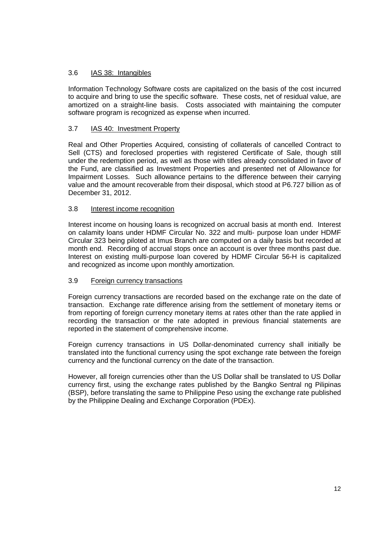# 3.6 IAS 38: Intangibles

Information Technology Software costs are capitalized on the basis of the cost incurred to acquire and bring to use the specific software. These costs, net of residual value, are amortized on a straight-line basis. Costs associated with maintaining the computer software program is recognized as expense when incurred.

# 3.7 IAS 40: Investment Property

Real and Other Properties Acquired, consisting of collaterals of cancelled Contract to Sell (CTS) and foreclosed properties with registered Certificate of Sale, though still under the redemption period, as well as those with titles already consolidated in favor of the Fund, are classified as Investment Properties and presented net of Allowance for Impairment Losses. Such allowance pertains to the difference between their carrying value and the amount recoverable from their disposal, which stood at P6.727 billion as of December 31, 2012.

# 3.8 Interest income recognition

Interest income on housing loans is recognized on accrual basis at month end. Interest on calamity loans under HDMF Circular No. 322 and multi- purpose loan under HDMF Circular 323 being piloted at Imus Branch are computed on a daily basis but recorded at month end. Recording of accrual stops once an account is over three months past due. Interest on existing multi-purpose loan covered by HDMF Circular 56-H is capitalized and recognized as income upon monthly amortization.

# 3.9 Foreign currency transactions

Foreign currency transactions are recorded based on the exchange rate on the date of transaction. Exchange rate difference arising from the settlement of monetary items or from reporting of foreign currency monetary items at rates other than the rate applied in recording the transaction or the rate adopted in previous financial statements are reported in the statement of comprehensive income.

Foreign currency transactions in US Dollar-denominated currency shall initially be translated into the functional currency using the spot exchange rate between the foreign currency and the functional currency on the date of the transaction.

However, all foreign currencies other than the US Dollar shall be translated to US Dollar currency first, using the exchange rates published by the Bangko Sentral ng Pilipinas (BSP), before translating the same to Philippine Peso using the exchange rate published by the Philippine Dealing and Exchange Corporation (PDEx).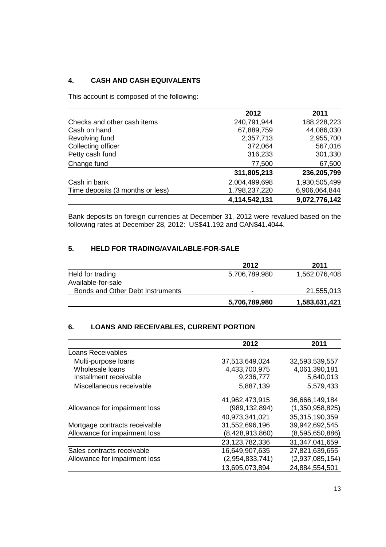# **4. CASH AND CASH EQUIVALENTS**

This account is composed of the following:

|                                  | 2012          | 2011          |
|----------------------------------|---------------|---------------|
| Checks and other cash items      | 240,791,944   | 188,228,223   |
| Cash on hand                     | 67,889,759    | 44,086,030    |
| Revolving fund                   | 2,357,713     | 2,955,700     |
| Collecting officer               | 372,064       | 567,016       |
| Petty cash fund                  | 316,233       | 301,330       |
| Change fund                      | 77,500        | 67,500        |
|                                  | 311,805,213   | 236,205,799   |
| Cash in bank                     | 2,004,499,698 | 1,930,505,499 |
| Time deposits (3 months or less) | 1,798,237,220 | 6,906,064,844 |
|                                  | 4,114,542,131 | 9,072,776,142 |

Bank deposits on foreign currencies at December 31, 2012 were revalued based on the following rates at December 28, 2012: US\$41.192 and CAN\$41.4044.

# **5. HELD FOR TRADING/AVAILABLE-FOR-SALE**

|                                  | 2012                     | 2011          |
|----------------------------------|--------------------------|---------------|
| Held for trading                 | 5,706,789,980            | 1,562,076,408 |
| Available-for-sale               |                          |               |
| Bonds and Other Debt Instruments | $\overline{\phantom{0}}$ | 21,555,013    |
|                                  | 5,706,789,980            | 1,583,631,421 |

# **6. LOANS AND RECEIVABLES, CURRENT PORTION**

|                               | 2012              | 2011            |
|-------------------------------|-------------------|-----------------|
| Loans Receivables             |                   |                 |
| Multi-purpose loans           | 37,513,649,024    | 32,593,539,557  |
| Wholesale loans               | 4,433,700,975     | 4,061,390,181   |
| Installment receivable        | 9,236,777         | 5,640,013       |
| Miscellaneous receivable      | 5,887,139         | 5,579,433       |
|                               | 41,962,473,915    | 36,666,149,184  |
| Allowance for impairment loss | (989,132,894)     | (1,350,958,825) |
|                               | 40,973,341,021    | 35,315,190,359  |
| Mortgage contracts receivable | 31,552,696,196    | 39,942,692,545  |
| Allowance for impairment loss | (8,428,913,860)   | (8,595,650,886) |
|                               | 23, 123, 782, 336 | 31,347,041,659  |
| Sales contracts receivable    | 16,649,907,635    | 27,821,639,655  |
| Allowance for impairment loss | (2,954,833,741)   | (2,937,085,154) |
|                               | 13,695,073,894    | 24,884,554,501  |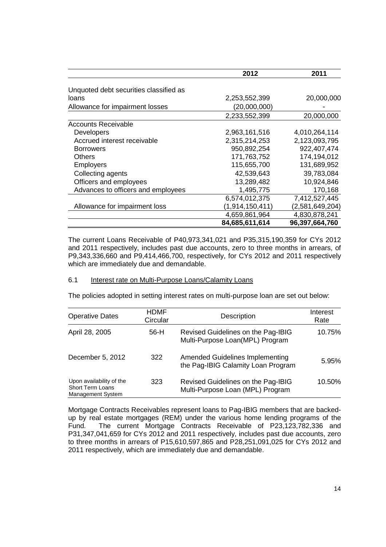|                                        | 2012            | 2011            |
|----------------------------------------|-----------------|-----------------|
|                                        |                 |                 |
| Unquoted debt securities classified as |                 |                 |
| loans                                  | 2,253,552,399   | 20,000,000      |
| Allowance for impairment losses        | (20,000,000)    |                 |
|                                        | 2,233,552,399   | 20,000,000      |
| <b>Accounts Receivable</b>             |                 |                 |
| <b>Developers</b>                      | 2,963,161,516   | 4,010,264,114   |
| Accrued interest receivable            | 2,315,214,253   | 2,123,093,795   |
| <b>Borrowers</b>                       | 950,892,254     | 922,407,474     |
| <b>Others</b>                          | 171,763,752     | 174,194,012     |
| <b>Employers</b>                       | 115,655,700     | 131,689,952     |
| Collecting agents                      | 42,539,643      | 39,783,084      |
| Officers and employees                 | 13,289,482      | 10,924,846      |
| Advances to officers and employees     | 1,495,775       | 170,168         |
|                                        | 6,574,012,375   | 7,412,527,445   |
| Allowance for impairment loss          | (1,914,150,411) | (2,581,649,204) |
|                                        | 4,659,861,964   | 4,830,878,241   |
|                                        | 84,685,611,614  | 96,397,664,760  |

The current Loans Receivable of P40,973,341,021 and P35,315,190,359 for CYs 2012 and 2011 respectively, includes past due accounts, zero to three months in arrears, of P9,343,336,660 and P9,414,466,700, respectively, for CYs 2012 and 2011 respectively which are immediately due and demandable.

#### 6.1 Interest rate on Multi-Purpose Loans/Calamity Loans

The policies adopted in setting interest rates on multi-purpose loan are set out below:

| <b>Operative Dates</b>                                                          | <b>HDMF</b><br>Circular | Description                                                                  | Interest<br>Rate |
|---------------------------------------------------------------------------------|-------------------------|------------------------------------------------------------------------------|------------------|
| April 28, 2005                                                                  | $56-H$                  | Revised Guidelines on the Pag-IBIG<br>Multi-Purpose Loan(MPL) Program        | 10.75%           |
| December 5, 2012                                                                | 322                     | <b>Amended Guidelines Implementing</b><br>the Pag-IBIG Calamity Loan Program | 5.95%            |
| Upon availability of the<br><b>Short Term Loans</b><br><b>Management System</b> | 323                     | Revised Guidelines on the Pag-IBIG<br>Multi-Purpose Loan (MPL) Program       | 10.50%           |

Mortgage Contracts Receivables represent loans to Pag-IBIG members that are backedup by real estate mortgages (REM) under the various home lending programs of the Fund. The current Mortgage Contracts Receivable of P23,123,782,336 and P31,347,041,659 for CYs 2012 and 2011 respectively, includes past due accounts, zero to three months in arrears of P15,610,597,865 and P28,251,091,025 for CYs 2012 and 2011 respectively, which are immediately due and demandable.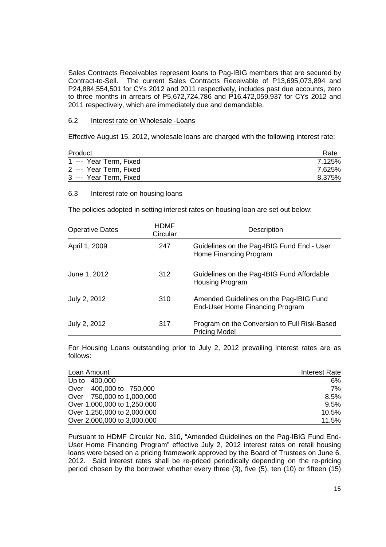Sales Contracts Receivables represent loans to Pag-IBIG members that are secured by Contract-to-Sell. The current Sales Contracts Receivable of P13,695,073,894 and P24,884,554,501 for CYs 2012 and 2011 respectively, includes past due accounts, zero to three months in arrears of P5,672,724,786 and P16,472,059,937 for CYs 2012 and 2011 respectively, which are immediately due and demandable.

#### 6.2 Interest rate on Wholesale -Loans

Effective August 15, 2012, wholesale loans are charged with the following interest rate:

| Product                | Rate   |
|------------------------|--------|
| 1 --- Year Term, Fixed | 7.125% |
| 2 --- Year Term, Fixed | 7.625% |
| 3 --- Year Term, Fixed | 8.375% |

#### 6.3 Interest rate on housing loans

The policies adopted in setting interest rates on housing loan are set out below:

| <b>Operative Dates</b> | <b>HDMF</b><br>Circular | Description                                                                |
|------------------------|-------------------------|----------------------------------------------------------------------------|
| April 1, 2009          | 247                     | Guidelines on the Pag-IBIG Fund End - User<br>Home Financing Program       |
| June 1, 2012           | 312                     | Guidelines on the Pag-IBIG Fund Affordable<br><b>Housing Program</b>       |
| July 2, 2012           | 310                     | Amended Guidelines on the Pag-IBIG Fund<br>End-User Home Financing Program |
| July 2, 2012           | 317                     | Program on the Conversion to Full Risk-Based<br><b>Pricing Model</b>       |

For Housing Loans outstanding prior to July 2, 2012 prevailing interest rates are as follows:

| Loan Amount                 | Interest Rate |
|-----------------------------|---------------|
| Up to<br>400,000            | 6%            |
| Over 400,000 to 750,000     | 7%            |
| Over 750,000 to 1,000,000   | 8.5%          |
| Over 1,000,000 to 1,250,000 | 9.5%          |
| Over 1,250,000 to 2,000,000 | 10.5%         |
| Over 2,000,000 to 3,000,000 | 11.5%         |

Pursuant to HDMF Circular No. 310, "Amended Guidelines on the Pag-IBIG Fund End-User Home Financing Program" effective July 2, 2012 interest rates on retail housing loans were based on a pricing framework approved by the Board of Trustees on June 6, 2012. Said interest rates shall be re-priced periodically depending on the re-pricing period chosen by the borrower whether every three (3), five (5), ten (10) or fifteen (15)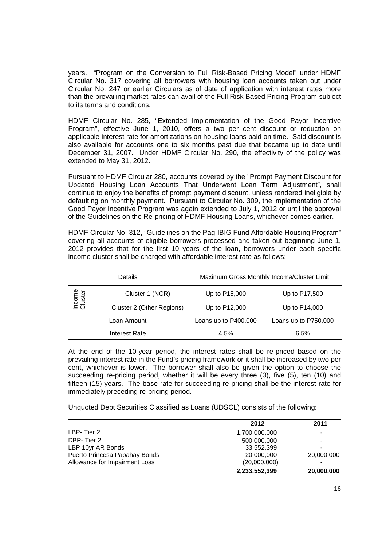years. "Program on the Conversion to Full Risk-Based Pricing Model" under HDMF Circular No. 317 covering all borrowers with housing loan accounts taken out under Circular No. 247 or earlier Circulars as of date of application with interest rates more than the prevailing market rates can avail of the Full Risk Based Pricing Program subject to its terms and conditions.

HDMF Circular No. 285, "Extended Implementation of the Good Payor Incentive Program", effective June 1, 2010, offers a two per cent discount or reduction on applicable interest rate for amortizations on housing loans paid on time. Said discount is also available for accounts one to six months past due that became up to date until December 31, 2007. Under HDMF Circular No. 290, the effectivity of the policy was extended to May 31, 2012.

Pursuant to HDMF Circular 280, accounts covered by the "Prompt Payment Discount for Updated Housing Loan Accounts That Underwent Loan Term Adjustment", shall continue to enjoy the benefits of prompt payment discount, unless rendered ineligible by defaulting on monthly payment. Pursuant to Circular No. 309, the implementation of the Good Payor Incentive Program was again extended to July 1, 2012 or until the approval of the Guidelines on the Re-pricing of HDMF Housing Loans, whichever comes earlier.

HDMF Circular No. 312, "Guidelines on the Pag-IBIG Fund Affordable Housing Program" covering all accounts of eligible borrowers processed and taken out beginning June 1, 2012 provides that for the first 10 years of the loan, borrowers under each specific income cluster shall be charged with affordable interest rate as follows:

| Details                              |                           | Maximum Gross Monthly Income/Cluster Limit |                      |  |
|--------------------------------------|---------------------------|--------------------------------------------|----------------------|--|
| Income<br>Cluster<br>Cluster 1 (NCR) |                           | Up to P15,000                              | Up to P17,500        |  |
|                                      | Cluster 2 (Other Regions) | Up to P12,000                              | Up to P14,000        |  |
| Loan Amount                          |                           | Loans up to P400,000                       | Loans up to P750,000 |  |
| Interest Rate                        |                           | 4.5%                                       | 6.5%                 |  |

At the end of the 10-year period, the interest rates shall be re-priced based on the prevailing interest rate in the Fund's pricing framework or it shall be increased by two per cent, whichever is lower. The borrower shall also be given the option to choose the succeeding re-pricing period, whether it will be every three (3), five (5), ten (10) and fifteen (15) years. The base rate for succeeding re-pricing shall be the interest rate for immediately preceding re-pricing period.

Unquoted Debt Securities Classified as Loans (UDSCL) consists of the following:

|                               | 2012          | 2011       |
|-------------------------------|---------------|------------|
| LBP-Tier 2                    | 1,700,000,000 | ۰          |
| DBP-Tier 2                    | 500,000,000   | -          |
| LBP 10yr AR Bonds             | 33,552,399    | -          |
| Puerto Princesa Pabahay Bonds | 20,000,000    | 20,000,000 |
| Allowance for Impairment Loss | (20,000,000)  | -          |
|                               | 2,233,552,399 | 20,000,000 |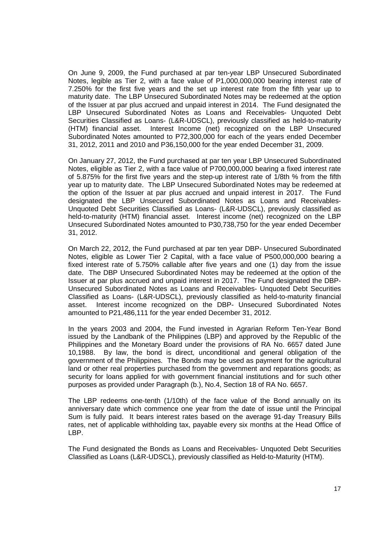On June 9, 2009, the Fund purchased at par ten-year LBP Unsecured Subordinated Notes, legible as Tier 2, with a face value of P1,000,000,000 bearing interest rate of 7.250% for the first five years and the set up interest rate from the fifth year up to maturity date. The LBP Unsecured Subordinated Notes may be redeemed at the option of the Issuer at par plus accrued and unpaid interest in 2014. The Fund designated the LBP Unsecured Subordinated Notes as Loans and Receivables- Unquoted Debt Securities Classified as Loans- (L&R-UDSCL), previously classified as held-to-maturity (HTM) financial asset. Interest Income (net) recognized on the LBP Unsecured Subordinated Notes amounted to P72,300,000 for each of the years ended December 31, 2012, 2011 and 2010 and P36,150,000 for the year ended December 31, 2009.

On January 27, 2012, the Fund purchased at par ten year LBP Unsecured Subordinated Notes, eligible as Tier 2, with a face value of P700,000,000 bearing a fixed interest rate of 5.875% for the first five years and the step-up interest rate of 1/8th % from the fifth year up to maturity date. The LBP Unsecured Subordinated Notes may be redeemed at the option of the Issuer at par plus accrued and unpaid interest in 2017. The Fund designated the LBP Unsecured Subordinated Notes as Loans and Receivables-Unquoted Debt Securities Classified as Loans- (L&R-UDSCL), previously classified as held-to-maturity (HTM) financial asset. Interest income (net) recognized on the LBP Unsecured Subordinated Notes amounted to P30,738,750 for the year ended December 31, 2012.

On March 22, 2012, the Fund purchased at par ten year DBP- Unsecured Subordinated Notes, eligible as Lower Tier 2 Capital, with a face value of P500,000,000 bearing a fixed interest rate of 5.750% callable after five years and one (1) day from the issue date. The DBP Unsecured Subordinated Notes may be redeemed at the option of the Issuer at par plus accrued and unpaid interest in 2017. The Fund designated the DBP-Unsecured Subordinated Notes as Loans and Receivables- Unquoted Debt Securities Classified as Loans- (L&R-UDSCL), previously classified as held-to-maturity financial asset. Interest income recognized on the DBP- Unsecured Subordinated Notes amounted to P21,486,111 for the year ended December 31, 2012.

In the years 2003 and 2004, the Fund invested in Agrarian Reform Ten-Year Bond issued by the Landbank of the Philippines (LBP) and approved by the Republic of the Philippines and the Monetary Board under the provisions of RA No. 6657 dated June 10,1988. By law, the bond is direct, unconditional and general obligation of the government of the Philippines. The Bonds may be used as payment for the agricultural land or other real properties purchased from the government and reparations goods; as security for loans applied for with government financial institutions and for such other purposes as provided under Paragraph (b.), No.4, Section 18 of RA No. 6657.

The LBP redeems one-tenth (1/10th) of the face value of the Bond annually on its anniversary date which commence one year from the date of issue until the Principal Sum is fully paid. It bears interest rates based on the average 91-day Treasury Bills rates, net of applicable withholding tax, payable every six months at the Head Office of LBP.

The Fund designated the Bonds as Loans and Receivables- Unquoted Debt Securities Classified as Loans (L&R-UDSCL), previously classified as Held-to-Maturity (HTM).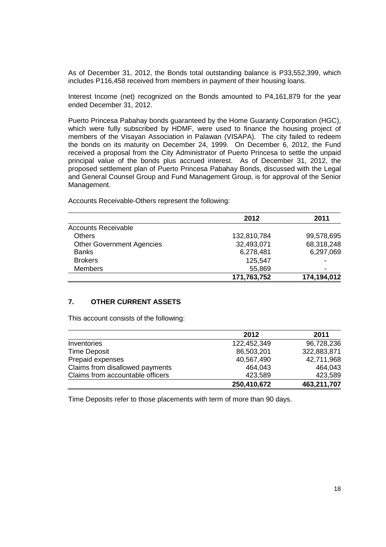As of December 31, 2012, the Bonds total outstanding balance is P33,552,399, which includes P116,458 received from members in payment of their housing loans.

Interest Income (net) recognized on the Bonds amounted to P4,161,879 for the year ended December 31, 2012.

Puerto Princesa Pabahay bonds guaranteed by the Home Guaranty Corporation (HGC), which were fully subscribed by HDMF, were used to finance the housing project of members of the Visayan Association in Palawan (VISAPA). The city failed to redeem the bonds on its maturity on December 24, 1999. On December 6, 2012, the Fund received a proposal from the City Administrator of Puerto Princesa to settle the unpaid principal value of the bonds plus accrued interest. As of December 31, 2012, the proposed settlement plan of Puerto Princesa Pabahay Bonds, discussed with the Legal and General Counsel Group and Fund Management Group, is for approval of the Senior Management.

 **2012 2011** Accounts Receivable Others 2011 132,810,784 99,578,695 Other Government Agencies 32,493,071 68,318,248 Banks 6,278,481 6,297,069 Brokers **125,547** - **125,647** Members **1988** - 1999 - 1999 - 1999 - 1999 - 1999 - 1999 - 1999 - 1999 - 1999 - 1999 - 1999 - 1999 - 1999 - 1999 - 1999 - 1999 - 1999 - 1999 - 1999 - 1999 - 1999 - 1999 - 1999 - 1999 - 1999 - 1999 - 1999 - 1999 - 1999 - 19 **171,763,752 174,194,012**

Accounts Receivable-Others represent the following:

# **7. OTHER CURRENT ASSETS**

This account consists of the following:

|                                  | 2012        | 2011        |
|----------------------------------|-------------|-------------|
| Inventories                      | 122,452,349 | 96,728,236  |
| <b>Time Deposit</b>              | 86,503,201  | 322,883,871 |
| Prepaid expenses                 | 40,567,490  | 42,711,968  |
| Claims from disallowed payments  | 464,043     | 464,043     |
| Claims from accountable officers | 423,589     | 423,589     |
|                                  | 250,410,672 | 463,211,707 |

Time Deposits refer to those placements with term of more than 90 days.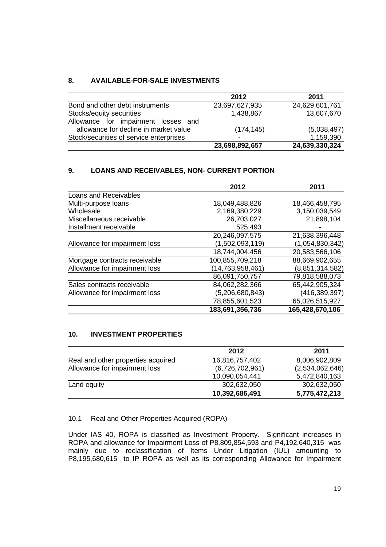#### **8. AVAILABLE-FOR-SALE INVESTMENTS**

|                                                                              | 2012           | 2011           |
|------------------------------------------------------------------------------|----------------|----------------|
| Bond and other debt instruments                                              | 23,697,627,935 | 24,629,601,761 |
| Stocks/equity securities                                                     | 1,438,867      | 13,607,670     |
| Allowance for impairment losses and<br>allowance for decline in market value | (174, 145)     | (5,038,497)    |
| Stock/securities of service enterprises                                      | $\blacksquare$ | 1,159,390      |
|                                                                              | 23,698,892,657 | 24,639,330,324 |

# **9. LOANS AND RECEIVABLES, NON- CURRENT PORTION**

|                               | 2012             | 2011            |
|-------------------------------|------------------|-----------------|
| Loans and Receivables         |                  |                 |
| Multi-purpose loans           | 18,049,488,826   | 18,466,458,795  |
| Wholesale                     | 2,169,380,229    | 3,150,039,549   |
| Miscellaneous receivable      | 26,703,027       | 21,898,104      |
| Installment receivable        | 525,493          |                 |
|                               | 20,246,097,575   | 21,638,396,448  |
| Allowance for impairment loss | (1,502,093,119)  | (1,054,830,342) |
|                               | 18,744,004,456   | 20,583,566,106  |
| Mortgage contracts receivable | 100,855,709,218  | 88,669,902,655  |
| Allowance for impairment loss | (14,763,958,461) | (8,851,314,582) |
|                               | 86,091,750,757   | 79,818,588,073  |
| Sales contracts receivable    | 84,062,282,366   | 65,442,905,324  |
| Allowance for impairment loss | (5,206,680,843)  | (416,389,397)   |
|                               | 78,855,601,523   | 65,026,515,927  |
|                               | 183,691,356,736  | 165,428,670,106 |

### **10. INVESTMENT PROPERTIES**

|                                    | 2012            | 2011            |
|------------------------------------|-----------------|-----------------|
| Real and other properties acquired | 16,816,757,402  | 8,006,902,809   |
| Allowance for impairment loss      | (6,726,702,961) | (2,534,062,646) |
|                                    | 10,090,054,441  | 5,472,840,163   |
| Land equity                        | 302,632,050     | 302,632,050     |
|                                    | 10,392,686,491  | 5,775,472,213   |

#### 10.1 Real and Other Properties Acquired (ROPA)

Under IAS 40, ROPA is classified as Investment Property. Significant increases in ROPA and allowance for Impairment Loss of P8,809,854,593 and P4,192,640,315 was mainly due to reclassification of Items Under Litigation (IUL) amounting to P8,195,680,615 to IP ROPA as well as its corresponding Allowance for Impairment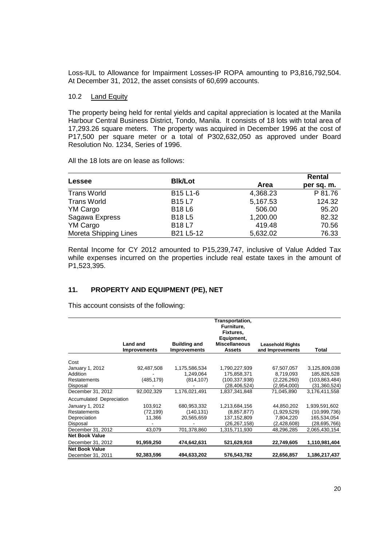Loss-IUL to Allowance for Impairment Losses-IP ROPA amounting to P3,816,792,504. At December 31, 2012, the asset consists of 60,699 accounts.

#### 10.2 Land Equity

The property being held for rental yields and capital appreciation is located at the Manila Harbour Central Business District, Tondo, Manila. It consists of 18 lots with total area of 17,293.26 square meters. The property was acquired in December 1996 at the cost of P17,500 per square meter or a total of P302,632,050 as approved under Board Resolution No. 1234, Series of 1996.

All the 18 lots are on lease as follows:

| <b>Lessee</b>         | <b>BIk/Lot</b>                    |          | Rental     |
|-----------------------|-----------------------------------|----------|------------|
|                       |                                   | Area     | per sq. m. |
| <b>Trans World</b>    | B <sub>15</sub> L <sub>1</sub> -6 | 4,368.23 | P 81.76    |
| <b>Trans World</b>    | <b>B15L7</b>                      | 5,167.53 | 124.32     |
| YM Cargo              | <b>B18L6</b>                      | 506.00   | 95.20      |
| Sagawa Express        | <b>B18L5</b>                      | 1,200.00 | 82.32      |
| YM Cargo              | <b>B18L7</b>                      | 419.48   | 70.56      |
| Moreta Shipping Lines | B21 L5-12                         | 5,632.02 | 76.33      |

Rental Income for CY 2012 amounted to P15,239,747, inclusive of Value Added Tax while expenses incurred on the properties include real estate taxes in the amount of P1,523,395.

# **11. PROPERTY AND EQUIPMENT (PE), NET**

This account consists of the following:

|                          |                                        |                                            | Transportation,<br>Furniture,         |                                             |                |
|--------------------------|----------------------------------------|--------------------------------------------|---------------------------------------|---------------------------------------------|----------------|
|                          |                                        |                                            | Fixtures,                             |                                             |                |
|                          |                                        |                                            | Equipment,                            |                                             |                |
|                          | <b>Land and</b><br><b>Improvements</b> | <b>Building and</b><br><b>Improvements</b> | <b>Miscellaneous</b><br><b>Assets</b> | <b>Leasehold Rights</b><br>and Improvements | Total          |
| Cost                     |                                        |                                            |                                       |                                             |                |
| January 1, 2012          | 92,487,508                             | 1,175,586,534                              | 1,790,227,939                         | 67,507,057                                  | 3,125,809,038  |
| Addition                 |                                        | 1,249,064                                  | 175,858,371                           | 8,719,093                                   | 185,826,528    |
| <b>Restatements</b>      | (485, 179)                             | (814, 107)                                 | (100,337,938)                         | (2,226,260)                                 | (103,863,484)  |
| Disposal                 |                                        |                                            | (28, 406, 524)                        | (2,954,000)                                 | (31, 360, 524) |
| December 31, 2012        | 92,002,329                             | 1,176,021,491                              | 1,837,341,848                         | 71,045,890                                  | 3,176,411,558  |
| Accumulated Depreciation |                                        |                                            |                                       |                                             |                |
| January 1, 2012          | 103.912                                | 680.953.332                                | 1,213,684,156                         | 44,850,202                                  | 1,939,591,602  |
| <b>Restatements</b>      | (72, 199)                              | (140, 131)                                 | (8,857,877)                           | (1,929,529)                                 | (10,999,736)   |
| Depreciation             | 11,366                                 | 20,565,659                                 | 137,152,809                           | 7,804,220                                   | 165,534,054    |
| Disposal                 |                                        |                                            | (26,267,158)                          | (2,428,608)                                 | (28,695,766)   |
| December 31, 2012        | 43,079                                 | 701,378,860                                | 1,315,711,930                         | 48,296,285                                  | 2,065,430,154  |
| <b>Net Book Value</b>    |                                        |                                            |                                       |                                             |                |
| December 31, 2012        | 91,959,250                             | 474,642,631                                | 521,629,918                           | 22,749,605                                  | 1,110,981,404  |
| <b>Net Book Value</b>    |                                        |                                            |                                       |                                             |                |
| December 31, 2011        | 92,383,596                             | 494,633,202                                | 576,543,782                           | 22,656,857                                  | 1,186,217,437  |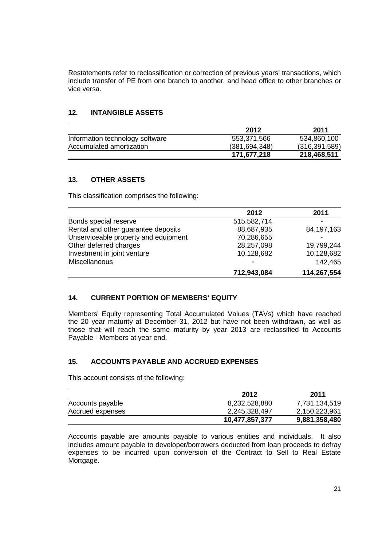Restatements refer to reclassification or correction of previous years' transactions, which include transfer of PE from one branch to another, and head office to other branches or vice versa.

# **12. INTANGIBLE ASSETS**

|                                 | 2012            | 2011            |
|---------------------------------|-----------------|-----------------|
| Information technology software | 553,371,566     | 534,860,100     |
| Accumulated amortization        | (381, 694, 348) | (316, 391, 589) |
|                                 | 171,677,218     | 218,468,511     |

# **13. OTHER ASSETS**

This classification comprises the following:

|                                      | 2012        | 2011        |
|--------------------------------------|-------------|-------------|
| Bonds special reserve                | 515,582,714 |             |
| Rental and other guarantee deposits  | 88,687,935  | 84,197,163  |
| Unserviceable property and equipment | 70,286,655  |             |
| Other deferred charges               | 28,257,098  | 19,799,244  |
| Investment in joint venture          | 10,128,682  | 10,128,682  |
| Miscellaneous                        | ۰           | 142,465     |
|                                      | 712,943,084 | 114,267,554 |

# **14. CURRENT PORTION OF MEMBERS' EQUITY**

Members' Equity representing Total Accumulated Values (TAVs) which have reached the 20 year maturity at December 31, 2012 but have not been withdrawn, as well as those that will reach the same maturity by year 2013 are reclassified to Accounts Payable - Members at year end.

# **15. ACCOUNTS PAYABLE AND ACCRUED EXPENSES**

This account consists of the following:

|                  | 2012           | 2011          |
|------------------|----------------|---------------|
| Accounts payable | 8,232,528,880  | 7,731,134,519 |
| Accrued expenses | 2,245,328,497  | 2,150,223,961 |
|                  | 10,477,857,377 | 9,881,358,480 |

Accounts payable are amounts payable to various entities and individuals. It also includes amount payable to developer/borrowers deducted from loan proceeds to defray expenses to be incurred upon conversion of the Contract to Sell to Real Estate Mortgage.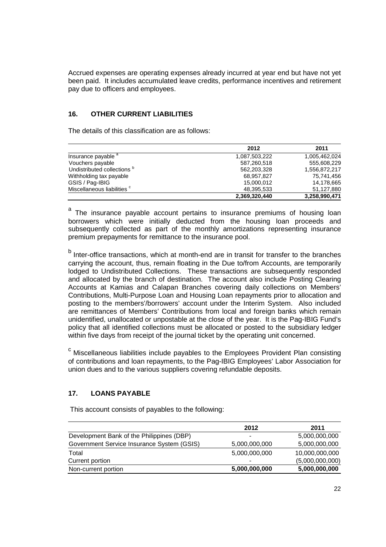Accrued expenses are operating expenses already incurred at year end but have not yet been paid. It includes accumulated leave credits, performance incentives and retirement pay due to officers and employees.

# **16. OTHER CURRENT LIABILITIES**

The details of this classification are as follows:

|                                        | 2012          | 2011          |
|----------------------------------------|---------------|---------------|
| Insurance payable <sup>a</sup>         | 1,087,503,222 | 1,005,462,024 |
| Vouchers payable                       | 587,260,518   | 555,608,229   |
| Undistributed collections <sup>p</sup> | 562,203,328   | 1,556,872,217 |
| Withholding tax payable                | 68.957.827    | 75,741,456    |
| GSIS / Pag-IBIG                        | 15,000,012    | 14,178,665    |
| Miscellaneous liabilities c            | 48,395,533    | 51,127,880    |
|                                        | 2,369,320,440 | 3,258,990,471 |

a The insurance payable account pertains to insurance premiums of housing loan borrowers which were initially deducted from the housing loan proceeds and subsequently collected as part of the monthly amortizations representing insurance premium prepayments for remittance to the insurance pool.

<sup>b</sup> Inter-office transactions, which at month-end are in transit for transfer to the branches carrying the account, thus, remain floating in the Due to/from Accounts, are temporarily lodged to Undistributed Collections. These transactions are subsequently responded and allocated by the branch of destination. The account also include Posting Clearing Accounts at Kamias and Calapan Branches covering daily collections on Members' Contributions, Multi-Purpose Loan and Housing Loan repayments prior to allocation and posting to the members'/borrowers' account under the Interim System. Also included are remittances of Members' Contributions from local and foreign banks which remain unidentified, unallocated or unpostable at the close of the year. It is the Pag-IBIG Fund's policy that all identified collections must be allocated or posted to the subsidiary ledger within five days from receipt of the journal ticket by the operating unit concerned.

 $\textdegree$  Miscellaneous liabilities include payables to the Employees Provident Plan consisting of contributions and loan repayments, to the Pag-IBIG Employees' Labor Association for union dues and to the various suppliers covering refundable deposits.

# **17. LOANS PAYABLE**

This account consists of payables to the following:

|                                            | 2012          | 2011            |
|--------------------------------------------|---------------|-----------------|
| Development Bank of the Philippines (DBP)  |               | 5,000,000,000   |
| Government Service Insurance System (GSIS) | 5,000,000,000 | 5,000,000,000   |
| Total                                      | 5,000,000,000 | 10,000,000,000  |
| Current portion                            |               | (5,000,000,000) |
| Non-current portion                        | 5,000,000,000 | 5,000,000,000   |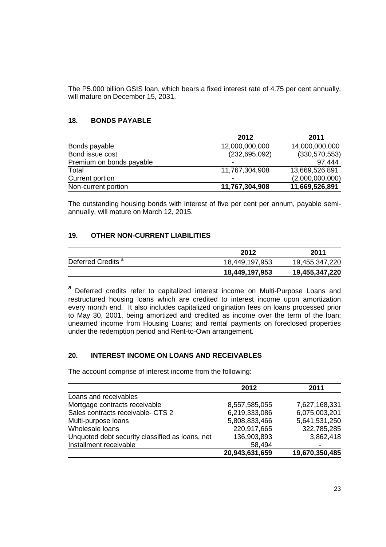The P5.000 billion GSIS loan, which bears a fixed interest rate of 4.75 per cent annually, will mature on December 15, 2031.

### **18. BONDS PAYABLE**

|                          | 2012                     | 2011            |
|--------------------------|--------------------------|-----------------|
| Bonds payable            | 12,000,000,000           | 14,000,000,000  |
| Bond issue cost          | (232, 695, 092)          | (330, 570, 553) |
| Premium on bonds payable |                          | 97,444          |
| Total                    | 11,767,304,908           | 13,669,526,891  |
| Current portion          | $\overline{\phantom{0}}$ | (2,000,000,000) |
| Non-current portion      | 11,767,304,908           | 11,669,526,891  |

The outstanding housing bonds with interest of five per cent per annum, payable semiannually, will mature on March 12, 2015.

#### **19. OTHER NON-CURRENT LIABILITIES**

|                               | 2012           | 2011           |
|-------------------------------|----------------|----------------|
| Deferred Credits <sup>a</sup> | 18,449,197,953 | 19,455,347,220 |
|                               | 18,449,197,953 | 19,455,347,220 |

a Deferred credits refer to capitalized interest income on Multi-Purpose Loans and restructured housing loans which are credited to interest income upon amortization every month end. It also includes capitalized origination fees on loans processed prior to May 30, 2001, being amortized and credited as income over the term of the loan; unearned income from Housing Loans; and rental payments on foreclosed properties under the redemption period and Rent-to-Own arrangement.

#### **20. INTEREST INCOME ON LOANS AND RECEIVABLES**

The account comprise of interest income from the following:

|                                                 | 2012           | 2011           |
|-------------------------------------------------|----------------|----------------|
| Loans and receivables                           |                |                |
| Mortgage contracts receivable                   | 8,557,585,055  | 7,627,168,331  |
| Sales contracts receivable- CTS 2               | 6,219,333,086  | 6,075,003,201  |
| Multi-purpose loans                             | 5,808,833,466  | 5,641,531,250  |
| Wholesale loans                                 | 220,917,665    | 322,785,285    |
| Unquoted debt security classified as loans, net | 136,903,893    | 3,862,418      |
| Installment receivable                          | 58,494         |                |
|                                                 | 20,943,631,659 | 19,670,350,485 |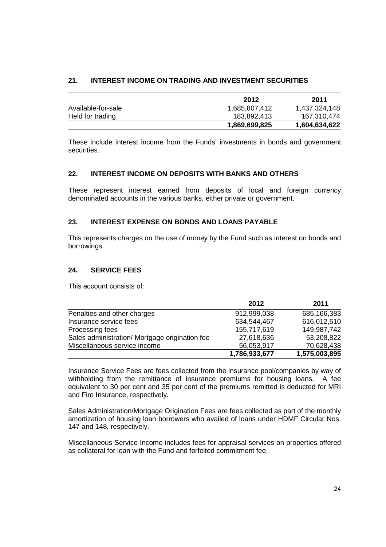# **21. INTEREST INCOME ON TRADING AND INVESTMENT SECURITIES**

|                    | 2012          | 2011          |
|--------------------|---------------|---------------|
| Available-for-sale | 1,685,807,412 | 1,437,324,148 |
| Held for trading   | 183.892.413   | 167,310,474   |
|                    | 1,869,699,825 | 1,604,634,622 |

These include interest income from the Funds' investments in bonds and government securities.

# **22. INTEREST INCOME ON DEPOSITS WITH BANKS AND OTHERS**

These represent interest earned from deposits of local and foreign currency denominated accounts in the various banks, either private or government.

#### **23. INTEREST EXPENSE ON BONDS AND LOANS PAYABLE**

This represents charges on the use of money by the Fund such as interest on bonds and borrowings.

#### **24. SERVICE FEES**

This account consists of:

|                                                | 2012          | 2011          |
|------------------------------------------------|---------------|---------------|
| Penalties and other charges                    | 912,999,038   | 685,166,383   |
| Insurance service fees                         | 634,544,467   | 616,012,510   |
| Processing fees                                | 155,717,619   | 149,987,742   |
| Sales administration/ Mortgage origination fee | 27,618,636    | 53,208,822    |
| Miscellaneous service income                   | 56,053,917    | 70,628,438    |
|                                                | 1,786,933,677 | 1,575,003,895 |

Insurance Service Fees are fees collected from the insurance pool/companies by way of withholding from the remittance of insurance premiums for housing loans. A fee equivalent to 30 per cent and 35 per cent of the premiums remitted is deducted for MRI and Fire Insurance, respectively.

Sales Administration/Mortgage Origination Fees are fees collected as part of the monthly amortization of housing loan borrowers who availed of loans under HDMF Circular Nos. 147 and 148, respectively.

Miscellaneous Service Income includes fees for appraisal services on properties offered as collateral for loan with the Fund and forfeited commitment fee.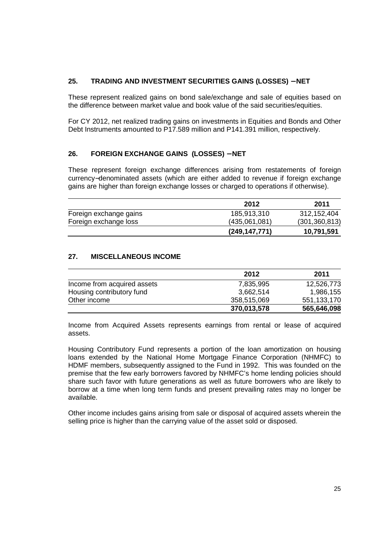# **25. TRADING AND INVESTMENT SECURITIES GAINS (LOSSES)** − **NET**

These represent realized gains on bond sale/exchange and sale of equities based on the difference between market value and book value of the said securities/equities.

For CY 2012, net realized trading gains on investments in Equities and Bonds and Other Debt Instruments amounted to P17.589 million and P141.391 million, respectively.

# **26. FOREIGN EXCHANGE GAINS (LOSSES)** − **NET**

These represent foreign exchange differences arising from restatements of foreign currency−denominated assets (which are either added to revenue if foreign exchange gains are higher than foreign exchange losses or charged to operations if otherwise).

|                        | 2012            | 2011            |
|------------------------|-----------------|-----------------|
| Foreign exchange gains | 185,913,310     | 312, 152, 404   |
| Foreign exchange loss  | (435,061,081)   | (301, 360, 813) |
|                        | (249, 147, 771) | 10,791,591      |

# **27. MISCELLANEOUS INCOME**

|                             | 2012        | 2011        |
|-----------------------------|-------------|-------------|
| Income from acquired assets | 7,835,995   | 12,526,773  |
| Housing contributory fund   | 3,662,514   | 1,986,155   |
| Other income                | 358,515,069 | 551,133,170 |
|                             | 370,013,578 | 565,646,098 |

Income from Acquired Assets represents earnings from rental or lease of acquired assets.

Housing Contributory Fund represents a portion of the loan amortization on housing loans extended by the National Home Mortgage Finance Corporation (NHMFC) to HDMF members, subsequently assigned to the Fund in 1992. This was founded on the premise that the few early borrowers favored by NHMFC's home lending policies should share such favor with future generations as well as future borrowers who are likely to borrow at a time when long term funds and present prevailing rates may no longer be available.

Other income includes gains arising from sale or disposal of acquired assets wherein the selling price is higher than the carrying value of the asset sold or disposed.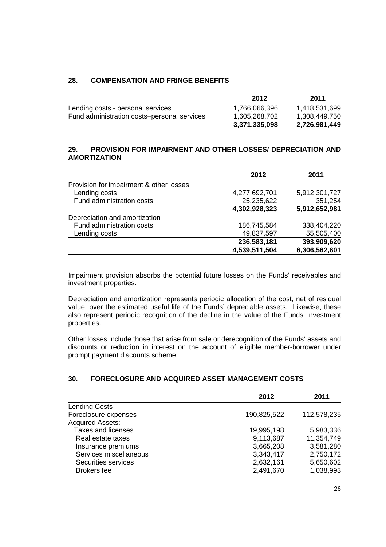### **28. COMPENSATION AND FRINGE BENEFITS**

|                                             | 2012          | 2011          |
|---------------------------------------------|---------------|---------------|
| Lending costs - personal services           | 1,766,066,396 | 1,418,531,699 |
| Fund administration costs-personal services | 1,605,268,702 | 1,308,449,750 |
|                                             | 3,371,335,098 | 2,726,981,449 |

#### **29. PROVISION FOR IMPAIRMENT AND OTHER LOSSES/ DEPRECIATION AND AMORTIZATION**

|                                         | 2012          | 2011          |
|-----------------------------------------|---------------|---------------|
| Provision for impairment & other losses |               |               |
| Lending costs                           | 4,277,692,701 | 5,912,301,727 |
| Fund administration costs               | 25,235,622    | 351,254       |
|                                         | 4,302,928,323 | 5,912,652,981 |
| Depreciation and amortization           |               |               |
| Fund administration costs               | 186,745,584   | 338,404,220   |
| Lending costs                           | 49,837,597    | 55,505,400    |
|                                         | 236,583,181   | 393,909,620   |
|                                         | 4,539,511,504 | 6,306,562,601 |

Impairment provision absorbs the potential future losses on the Funds' receivables and investment properties.

Depreciation and amortization represents periodic allocation of the cost, net of residual value, over the estimated useful life of the Funds' depreciable assets. Likewise, these also represent periodic recognition of the decline in the value of the Funds' investment properties.

Other losses include those that arise from sale or derecognition of the Funds' assets and discounts or reduction in interest on the account of eligible member-borrower under prompt payment discounts scheme.

#### **30. FORECLOSURE AND ACQUIRED ASSET MANAGEMENT COSTS**

|                           | 2012        | 2011        |
|---------------------------|-------------|-------------|
| <b>Lending Costs</b>      |             |             |
| Foreclosure expenses      | 190,825,522 | 112,578,235 |
| <b>Acquired Assets:</b>   |             |             |
| <b>Taxes and licenses</b> | 19,995,198  | 5,983,336   |
| Real estate taxes         | 9,113,687   | 11,354,749  |
| Insurance premiums        | 3,665,208   | 3,581,280   |
| Services miscellaneous    | 3,343,417   | 2,750,172   |
| Securities services       | 2,632,161   | 5,650,602   |
| <b>Brokers</b> fee        | 2,491,670   | 1,038,993   |
|                           |             |             |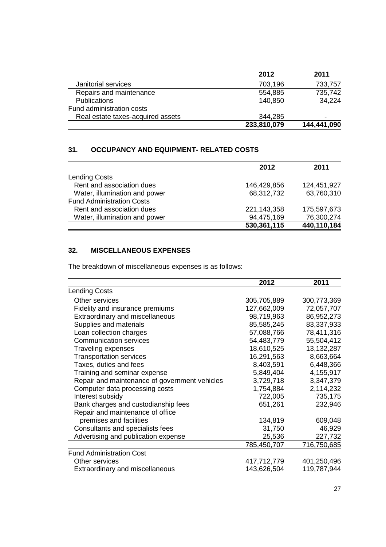|                                   | 2012        | 2011                     |
|-----------------------------------|-------------|--------------------------|
| Janitorial services               | 703,196     | 733,757                  |
| Repairs and maintenance           | 554,885     | 735,742                  |
| <b>Publications</b>               | 140,850     | 34,224                   |
| Fund administration costs         |             |                          |
| Real estate taxes-acquired assets | 344,285     | $\overline{\phantom{0}}$ |
|                                   | 233,810,079 | 144,441,090              |

# **31. OCCUPANCY AND EQUIPMENT- RELATED COSTS**

|                                  | 2012          | 2011        |
|----------------------------------|---------------|-------------|
| <b>Lending Costs</b>             |               |             |
| Rent and association dues        | 146,429,856   | 124,451,927 |
| Water, illumination and power    | 68,312,732    | 63,760,310  |
| <b>Fund Administration Costs</b> |               |             |
| Rent and association dues        | 221, 143, 358 | 175,597,673 |
| Water, illumination and power    | 94,475,169    | 76,300,274  |
|                                  | 530,361,115   | 440,110,184 |

# **32. MISCELLANEOUS EXPENSES**

The breakdown of miscellaneous expenses is as follows:

|                                               | 2012        | 2011        |
|-----------------------------------------------|-------------|-------------|
| <b>Lending Costs</b>                          |             |             |
| Other services                                | 305,705,889 | 300,773,369 |
| Fidelity and insurance premiums               | 127,662,009 | 72,057,707  |
| <b>Extraordinary and miscellaneous</b>        | 98,719,963  | 86,952,273  |
| Supplies and materials                        | 85,585,245  | 83,337,933  |
| Loan collection charges                       | 57,088,766  | 78,411,316  |
| <b>Communication services</b>                 | 54,483,779  | 55,504,412  |
| Traveling expenses                            | 18,610,525  | 13,132,287  |
| <b>Transportation services</b>                | 16,291,563  | 8,663,664   |
| Taxes, duties and fees                        | 8,403,591   | 6,448,366   |
| Training and seminar expense                  | 5,849,404   | 4,155,917   |
| Repair and maintenance of government vehicles | 3,729,718   | 3,347,379   |
| Computer data processing costs                | 1,754,884   | 2,114,232   |
| Interest subsidy                              | 722,005     | 735,175     |
| Bank charges and custodianship fees           | 651,261     | 232,946     |
| Repair and maintenance of office              |             |             |
| premises and facilities                       | 134,819     | 609,048     |
| Consultants and specialists fees              | 31,750      | 46,929      |
| Advertising and publication expense           | 25,536      | 227,732     |
|                                               | 785,450,707 | 716,750,685 |
| <b>Fund Administration Cost</b>               |             |             |
| Other services                                | 417,712,779 | 401,250,496 |
| Extraordinary and miscellaneous               | 143,626,504 | 119,787,944 |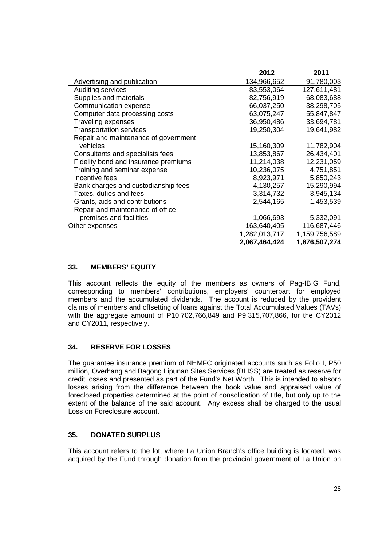|                                      | 2012          | 2011          |
|--------------------------------------|---------------|---------------|
| Advertising and publication          | 134,966,652   | 91,780,003    |
| Auditing services                    | 83,553,064    | 127,611,481   |
| Supplies and materials               | 82,756,919    | 68,083,688    |
| Communication expense                | 66,037,250    | 38,298,705    |
| Computer data processing costs       | 63,075,247    | 55,847,847    |
| <b>Traveling expenses</b>            | 36,950,486    | 33,694,781    |
| <b>Transportation services</b>       | 19,250,304    | 19,641,982    |
| Repair and maintenance of government |               |               |
| vehicles                             | 15,160,309    | 11,782,904    |
| Consultants and specialists fees     | 13,853,867    | 26,434,401    |
| Fidelity bond and insurance premiums | 11,214,038    | 12,231,059    |
| Training and seminar expense         | 10,236,075    | 4,751,851     |
| Incentive fees                       | 8,923,971     | 5,850,243     |
| Bank charges and custodianship fees  | 4,130,257     | 15,290,994    |
| Taxes, duties and fees               | 3,314,732     | 3,945,134     |
| Grants, aids and contributions       | 2,544,165     | 1,453,539     |
| Repair and maintenance of office     |               |               |
| premises and facilities              | 1,066,693     | 5,332,091     |
| Other expenses                       | 163,640,405   | 116,687,446   |
|                                      | 1,282,013,717 | 1,159,756,589 |
|                                      | 2,067,464,424 | 1,876,507,274 |

### **33. MEMBERS' EQUITY**

This account reflects the equity of the members as owners of Pag-IBIG Fund, corresponding to members' contributions, employers' counterpart for employed members and the accumulated dividends. The account is reduced by the provident claims of members and offsetting of loans against the Total Accumulated Values (TAVs) with the aggregate amount of P10,702,766,849 and P9,315,707,866, for the CY2012 and CY2011, respectively.

# **34. RESERVE FOR LOSSES**

The guarantee insurance premium of NHMFC originated accounts such as Folio I, P50 million, Overhang and Bagong Lipunan Sites Services (BLISS) are treated as reserve for credit losses and presented as part of the Fund's Net Worth. This is intended to absorb losses arising from the difference between the book value and appraised value of foreclosed properties determined at the point of consolidation of title, but only up to the extent of the balance of the said account. Any excess shall be charged to the usual Loss on Foreclosure account.

#### **35. DONATED SURPLUS**

This account refers to the lot, where La Union Branch's office building is located, was acquired by the Fund through donation from the provincial government of La Union on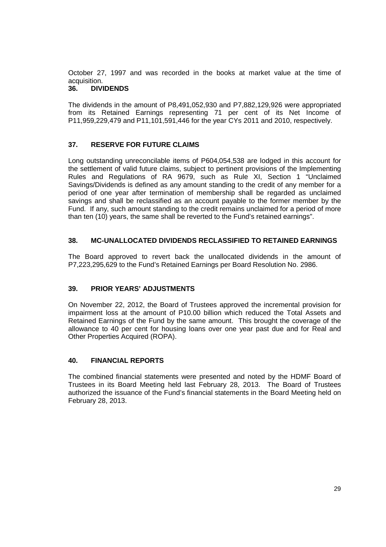October 27, 1997 and was recorded in the books at market value at the time of acquisition.

# **36. DIVIDENDS**

The dividends in the amount of P8,491,052,930 and P7,882,129,926 were appropriated from its Retained Earnings representing 71 per cent of its Net Income of P11,959,229,479 and P11,101,591,446 for the year CYs 2011 and 2010, respectively.

# **37. RESERVE FOR FUTURE CLAIMS**

Long outstanding unreconcilable items of P604,054,538 are lodged in this account for the settlement of valid future claims, subject to pertinent provisions of the Implementing Rules and Regulations of RA 9679, such as Rule XI, Section 1 "Unclaimed Savings/Dividends is defined as any amount standing to the credit of any member for a period of one year after termination of membership shall be regarded as unclaimed savings and shall be reclassified as an account payable to the former member by the Fund. If any, such amount standing to the credit remains unclaimed for a period of more than ten (10) years, the same shall be reverted to the Fund's retained earnings".

# **38. MC-UNALLOCATED DIVIDENDS RECLASSIFIED TO RETAINED EARNINGS**

The Board approved to revert back the unallocated dividends in the amount of P7,223,295,629 to the Fund's Retained Earnings per Board Resolution No. 2986.

# **39. PRIOR YEARS' ADJUSTMENTS**

On November 22, 2012, the Board of Trustees approved the incremental provision for impairment loss at the amount of P10.00 billion which reduced the Total Assets and Retained Earnings of the Fund by the same amount. This brought the coverage of the allowance to 40 per cent for housing loans over one year past due and for Real and Other Properties Acquired (ROPA).

# **40. FINANCIAL REPORTS**

The combined financial statements were presented and noted by the HDMF Board of Trustees in its Board Meeting held last February 28, 2013. The Board of Trustees authorized the issuance of the Fund's financial statements in the Board Meeting held on February 28, 2013.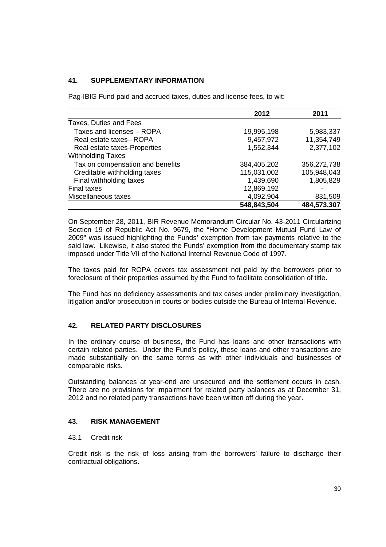# **41. SUPPLEMENTARY INFORMATION**

Pag-IBIG Fund paid and accrued taxes, duties and license fees, to wit:

|                                  | 2012        | 2011        |
|----------------------------------|-------------|-------------|
| Taxes, Duties and Fees           |             |             |
| Taxes and licenses - ROPA        | 19,995,198  | 5,983,337   |
| Real estate taxes-ROPA           | 9,457,972   | 11,354,749  |
| Real estate taxes-Properties     | 1,552,344   | 2,377,102   |
| <b>Withholding Taxes</b>         |             |             |
| Tax on compensation and benefits | 384,405,202 | 356,272,738 |
| Creditable withholding taxes     | 115,031,002 | 105,948,043 |
| Final withholding taxes          | 1,439,690   | 1,805,829   |
| <b>Final taxes</b>               | 12,869,192  |             |
| Miscellaneous taxes              | 4,092,904   | 831,509     |
|                                  | 548,843,504 | 484,573,307 |

On September 28, 2011, BIR Revenue Memorandum Circular No. 43-2011 Circularizing Section 19 of Republic Act No. 9679, the "Home Development Mutual Fund Law of 2009" was issued highlighting the Funds' exemption from tax payments relative to the said law. Likewise, it also stated the Funds' exemption from the documentary stamp tax imposed under Title VII of the National Internal Revenue Code of 1997.

The taxes paid for ROPA covers tax assessment not paid by the borrowers prior to foreclosure of their properties assumed by the Fund to facilitate consolidation of title.

The Fund has no deficiency assessments and tax cases under preliminary investigation, litigation and/or prosecution in courts or bodies outside the Bureau of Internal Revenue.

# **42. RELATED PARTY DISCLOSURES**

In the ordinary course of business, the Fund has loans and other transactions with certain related parties. Under the Fund's policy, these loans and other transactions are made substantially on the same terms as with other individuals and businesses of comparable risks.

Outstanding balances at year-end are unsecured and the settlement occurs in cash. There are no provisions for impairment for related party balances as at December 31, 2012 and no related party transactions have been written off during the year.

# **43. RISK MANAGEMENT**

#### 43.1 Credit risk

Credit risk is the risk of loss arising from the borrowers' failure to discharge their contractual obligations.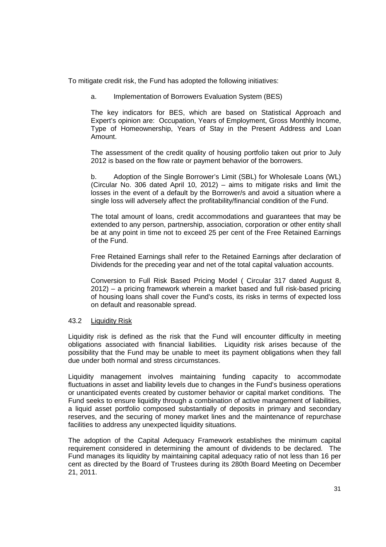To mitigate credit risk, the Fund has adopted the following initiatives:

a. Implementation of Borrowers Evaluation System (BES)

The key indicators for BES, which are based on Statistical Approach and Expert's opinion are: Occupation, Years of Employment, Gross Monthly Income, Type of Homeownership, Years of Stay in the Present Address and Loan Amount.

The assessment of the credit quality of housing portfolio taken out prior to July 2012 is based on the flow rate or payment behavior of the borrowers.

b. Adoption of the Single Borrower's Limit (SBL) for Wholesale Loans (WL) (Circular No. 306 dated April 10, 2012) – aims to mitigate risks and limit the losses in the event of a default by the Borrower/s and avoid a situation where a single loss will adversely affect the profitability/financial condition of the Fund.

The total amount of loans, credit accommodations and guarantees that may be extended to any person, partnership, association, corporation or other entity shall be at any point in time not to exceed 25 per cent of the Free Retained Earnings of the Fund.

Free Retained Earnings shall refer to the Retained Earnings after declaration of Dividends for the preceding year and net of the total capital valuation accounts.

Conversion to Full Risk Based Pricing Model ( Circular 317 dated August 8, 2012) – a pricing framework wherein a market based and full risk-based pricing of housing loans shall cover the Fund's costs, its risks in terms of expected loss on default and reasonable spread.

#### 43.2 Liquidity Risk

Liquidity risk is defined as the risk that the Fund will encounter difficulty in meeting obligations associated with financial liabilities. Liquidity risk arises because of the possibility that the Fund may be unable to meet its payment obligations when they fall due under both normal and stress circumstances.

Liquidity management involves maintaining funding capacity to accommodate fluctuations in asset and liability levels due to changes in the Fund's business operations or unanticipated events created by customer behavior or capital market conditions. The Fund seeks to ensure liquidity through a combination of active management of liabilities, a liquid asset portfolio composed substantially of deposits in primary and secondary reserves, and the securing of money market lines and the maintenance of repurchase facilities to address any unexpected liquidity situations.

The adoption of the Capital Adequacy Framework establishes the minimum capital requirement considered in determining the amount of dividends to be declared. The Fund manages its liquidity by maintaining capital adequacy ratio of not less than 16 per cent as directed by the Board of Trustees during its 280th Board Meeting on December 21, 2011.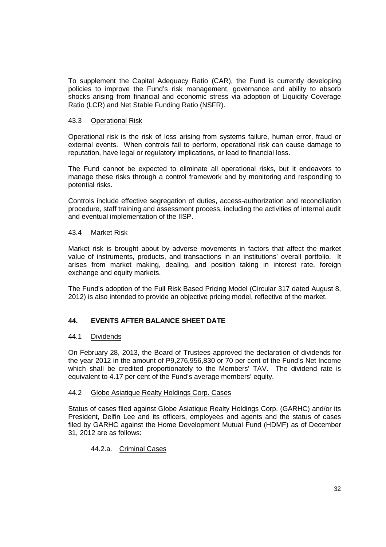To supplement the Capital Adequacy Ratio (CAR), the Fund is currently developing policies to improve the Fund's risk management, governance and ability to absorb shocks arising from financial and economic stress via adoption of Liquidity Coverage Ratio (LCR) and Net Stable Funding Ratio (NSFR).

### 43.3 Operational Risk

Operational risk is the risk of loss arising from systems failure, human error, fraud or external events. When controls fail to perform, operational risk can cause damage to reputation, have legal or regulatory implications, or lead to financial loss.

The Fund cannot be expected to eliminate all operational risks, but it endeavors to manage these risks through a control framework and by monitoring and responding to potential risks.

Controls include effective segregation of duties, access-authorization and reconciliation procedure, staff training and assessment process, including the activities of internal audit and eventual implementation of the IISP.

#### 43.4 Market Risk

Market risk is brought about by adverse movements in factors that affect the market value of instruments, products, and transactions in an institutions' overall portfolio. It arises from market making, dealing, and position taking in interest rate, foreign exchange and equity markets.

The Fund's adoption of the Full Risk Based Pricing Model (Circular 317 dated August 8, 2012) is also intended to provide an objective pricing model, reflective of the market.

# **44. EVENTS AFTER BALANCE SHEET DATE**

#### 44.1 Dividends

On February 28, 2013, the Board of Trustees approved the declaration of dividends for the year 2012 in the amount of P9,276,956,830 or 70 per cent of the Fund's Net Income which shall be credited proportionately to the Members' TAV. The dividend rate is equivalent to 4.17 per cent of the Fund's average members' equity.

#### 44.2 Globe Asiatique Realty Holdings Corp. Cases

Status of cases filed against Globe Asiatique Realty Holdings Corp. (GARHC) and/or its President, Delfin Lee and its officers, employees and agents and the status of cases filed by GARHC against the Home Development Mutual Fund (HDMF) as of December 31, 2012 are as follows:

#### 44.2.a. Criminal Cases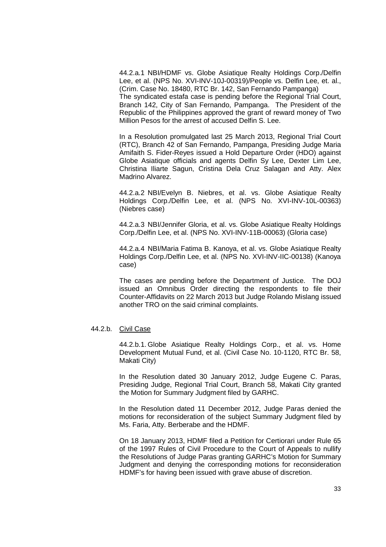44.2.a.1 NBI/HDMF vs. Globe Asiatique Realty Holdings Corp./Delfin Lee, et al. (NPS No. XVI-INV-10J-00319)/People vs. Delfin Lee, et. al., (Crim. Case No. 18480, RTC Br. 142, San Fernando Pampanga) The syndicated estafa case is pending before the Regional Trial Court, Branch 142, City of San Fernando, Pampanga. The President of the Republic of the Philippines approved the grant of reward money of Two Million Pesos for the arrest of accused Delfin S. Lee.

In a Resolution promulgated last 25 March 2013, Regional Trial Court (RTC), Branch 42 of San Fernando, Pampanga, Presiding Judge Maria Amifaith S. Fider-Reyes issued a Hold Departure Order (HDO) against Globe Asiatique officials and agents Delfin Sy Lee, Dexter Lim Lee, Christina Iliarte Sagun, Cristina Dela Cruz Salagan and Atty. Alex Madrino Alvarez.

44.2.a.2 NBI/Evelyn B. Niebres, et al. vs. Globe Asiatique Realty Holdings Corp./Delfin Lee, et al. (NPS No. XVI-INV-10L-00363) (Niebres case)

44.2.a.3 NBI/Jennifer Gloria, et al. vs. Globe Asiatique Realty Holdings Corp./Delfin Lee, et al. (NPS No. XVI-INV-11B-00063) (Gloria case)

44.2.a.4 NBI/Maria Fatima B. Kanoya, et al. vs. Globe Asiatique Realty Holdings Corp./Delfin Lee, et al. (NPS No. XVI-INV-IIC-00138) (Kanoya case)

The cases are pending before the Department of Justice. The DOJ issued an Omnibus Order directing the respondents to file their Counter-Affidavits on 22 March 2013 but Judge Rolando Mislang issued another TRO on the said criminal complaints.

### 44.2.b. Civil Case

44.2.b.1. Globe Asiatique Realty Holdings Corp., et al. vs. Home Development Mutual Fund, et al. (Civil Case No. 10-1120, RTC Br. 58, Makati City)

In the Resolution dated 30 January 2012, Judge Eugene C. Paras, Presiding Judge, Regional Trial Court, Branch 58, Makati City granted the Motion for Summary Judgment filed by GARHC.

In the Resolution dated 11 December 2012, Judge Paras denied the motions for reconsideration of the subject Summary Judgment filed by Ms. Faria, Atty. Berberabe and the HDMF.

On 18 January 2013, HDMF filed a Petition for Certiorari under Rule 65 of the 1997 Rules of Civil Procedure to the Court of Appeals to nullify the Resolutions of Judge Paras granting GARHC's Motion for Summary Judgment and denying the corresponding motions for reconsideration HDMF's for having been issued with grave abuse of discretion.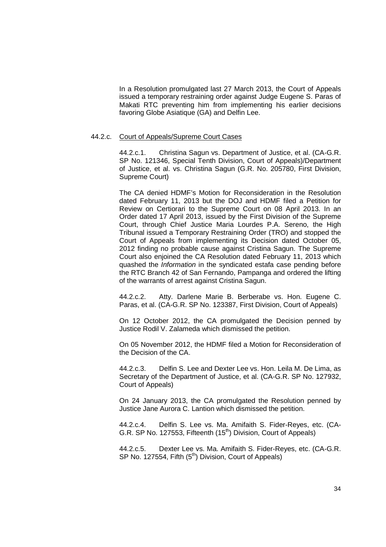In a Resolution promulgated last 27 March 2013, the Court of Appeals issued a temporary restraining order against Judge Eugene S. Paras of Makati RTC preventing him from implementing his earlier decisions favoring Globe Asiatique (GA) and Delfin Lee.

#### 44.2.c. Court of Appeals/Supreme Court Cases

44.2.c.1. Christina Sagun vs. Department of Justice, et al. (CA-G.R. SP No. 121346, Special Tenth Division, Court of Appeals)/Department of Justice, et al. vs. Christina Sagun (G.R. No. 205780, First Division, Supreme Court)

The CA denied HDMF's Motion for Reconsideration in the Resolution dated February 11, 2013 but the DOJ and HDMF filed a Petition for Review on Certiorari to the Supreme Court on 08 April 2013. In an Order dated 17 April 2013, issued by the First Division of the Supreme Court, through Chief Justice Maria Lourdes P.A. Sereno, the High Tribunal issued a Temporary Restraining Order (TRO) and stopped the Court of Appeals from implementing its Decision dated October 05, 2012 finding no probable cause against Cristina Sagun. The Supreme Court also enjoined the CA Resolution dated February 11, 2013 which quashed the Information in the syndicated estafa case pending before the RTC Branch 42 of San Fernando, Pampanga and ordered the lifting of the warrants of arrest against Cristina Sagun.

44.2.c.2. Atty. Darlene Marie B. Berberabe vs. Hon. Eugene C. Paras, et al. (CA-G.R. SP No. 123387, First Division, Court of Appeals)

On 12 October 2012, the CA promulgated the Decision penned by Justice Rodil V. Zalameda which dismissed the petition.

On 05 November 2012, the HDMF filed a Motion for Reconsideration of the Decision of the CA.

44.2.c.3. Delfin S. Lee and Dexter Lee vs. Hon. Leila M. De Lima, as Secretary of the Department of Justice, et al. (CA-G.R. SP No. 127932, Court of Appeals)

On 24 January 2013, the CA promulgated the Resolution penned by Justice Jane Aurora C. Lantion which dismissed the petition.

44.2.c.4. Delfin S. Lee vs. Ma. Amifaith S. Fider-Reyes, etc. (CA-G.R. SP No. 127553, Fifteenth (15<sup>th</sup>) Division, Court of Appeals)

44.2.c.5. Dexter Lee vs. Ma. Amifaith S. Fider-Reyes, etc. (CA-G.R. SP No. 127554, Fifth (5<sup>th</sup>) Division, Court of Appeals)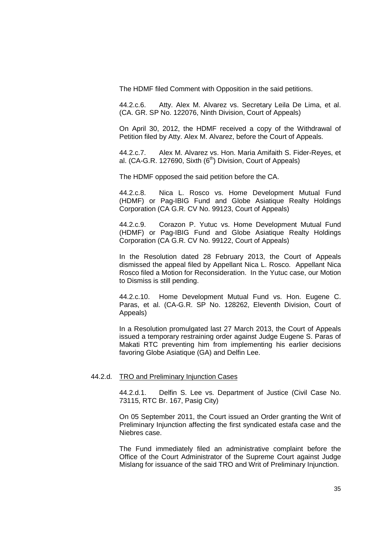The HDMF filed Comment with Opposition in the said petitions.

44.2.c.6. Atty. Alex M. Alvarez vs. Secretary Leila De Lima, et al. (CA. GR. SP No. 122076, Ninth Division, Court of Appeals)

On April 30, 2012, the HDMF received a copy of the Withdrawal of Petition filed by Atty. Alex M. Alvarez, before the Court of Appeals.

44.2.c.7. Alex M. Alvarez vs. Hon. Maria Amifaith S. Fider-Reyes, et al. (CA-G.R. 127690, Sixth  $(6<sup>th</sup>)$  Division, Court of Appeals)

The HDMF opposed the said petition before the CA.

44.2.c.8. Nica L. Rosco vs. Home Development Mutual Fund (HDMF) or Pag-IBIG Fund and Globe Asiatique Realty Holdings Corporation (CA G.R. CV No. 99123, Court of Appeals)

44.2.c.9. Corazon P. Yutuc vs. Home Development Mutual Fund (HDMF) or Pag-IBIG Fund and Globe Asiatique Realty Holdings Corporation (CA G.R. CV No. 99122, Court of Appeals)

In the Resolution dated 28 February 2013, the Court of Appeals dismissed the appeal filed by Appellant Nica L. Rosco. Appellant Nica Rosco filed a Motion for Reconsideration. In the Yutuc case, our Motion to Dismiss is still pending.

44.2.c.10. Home Development Mutual Fund vs. Hon. Eugene C. Paras, et al. (CA-G.R. SP No. 128262, Eleventh Division, Court of Appeals)

In a Resolution promulgated last 27 March 2013, the Court of Appeals issued a temporary restraining order against Judge Eugene S. Paras of Makati RTC preventing him from implementing his earlier decisions favoring Globe Asiatique (GA) and Delfin Lee.

#### 44.2.d. TRO and Preliminary Injunction Cases

44.2.d.1. Delfin S. Lee vs. Department of Justice (Civil Case No. 73115, RTC Br. 167, Pasig City)

On 05 September 2011, the Court issued an Order granting the Writ of Preliminary Injunction affecting the first syndicated estafa case and the Niebres case.

The Fund immediately filed an administrative complaint before the Office of the Court Administrator of the Supreme Court against Judge Mislang for issuance of the said TRO and Writ of Preliminary Injunction.